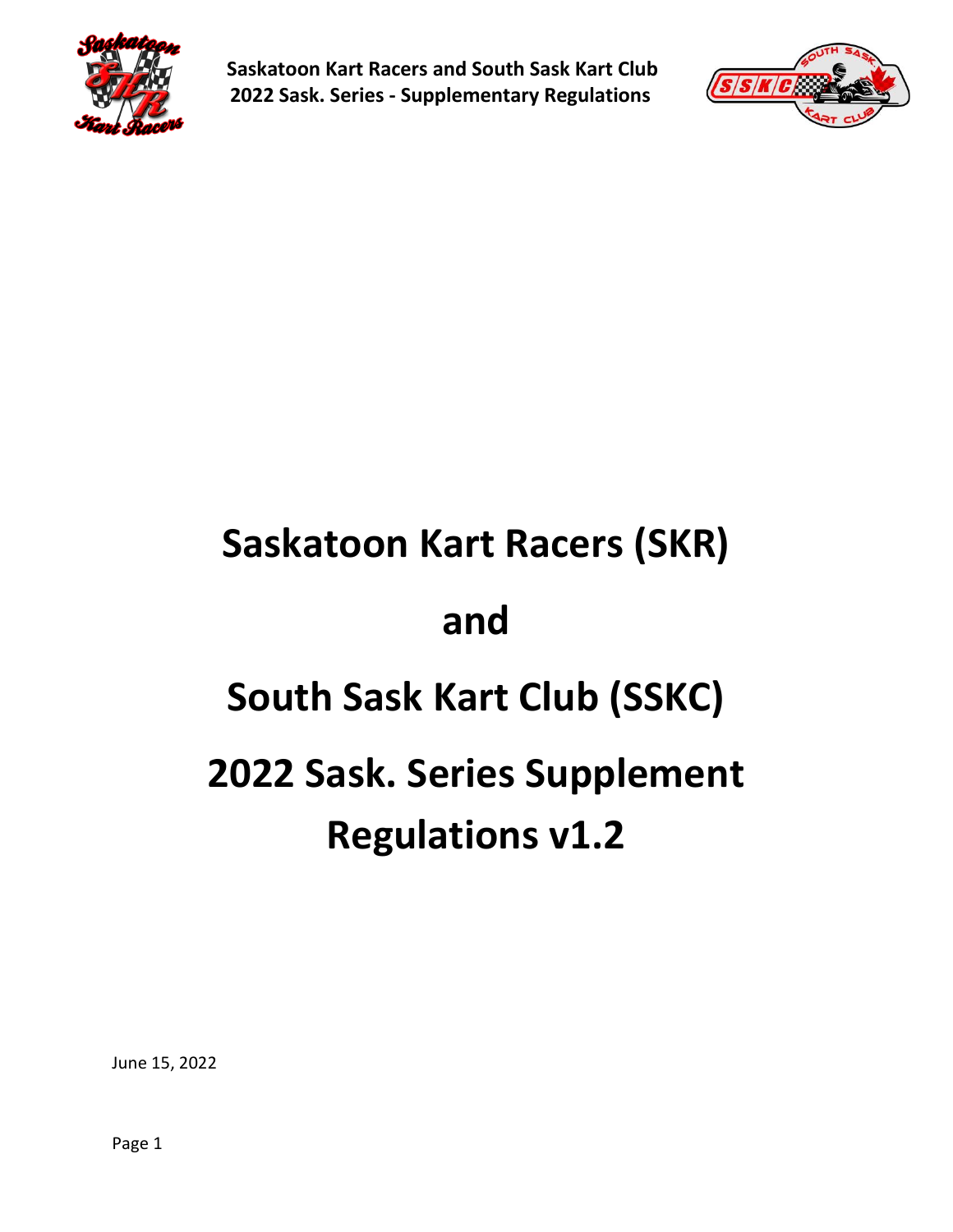



# **Saskatoon Kart Racers (SKR) and South Sask Kart Club (SSKC) 2022 Sask. Series Supplement Regulations v1.2**

June 15, 2022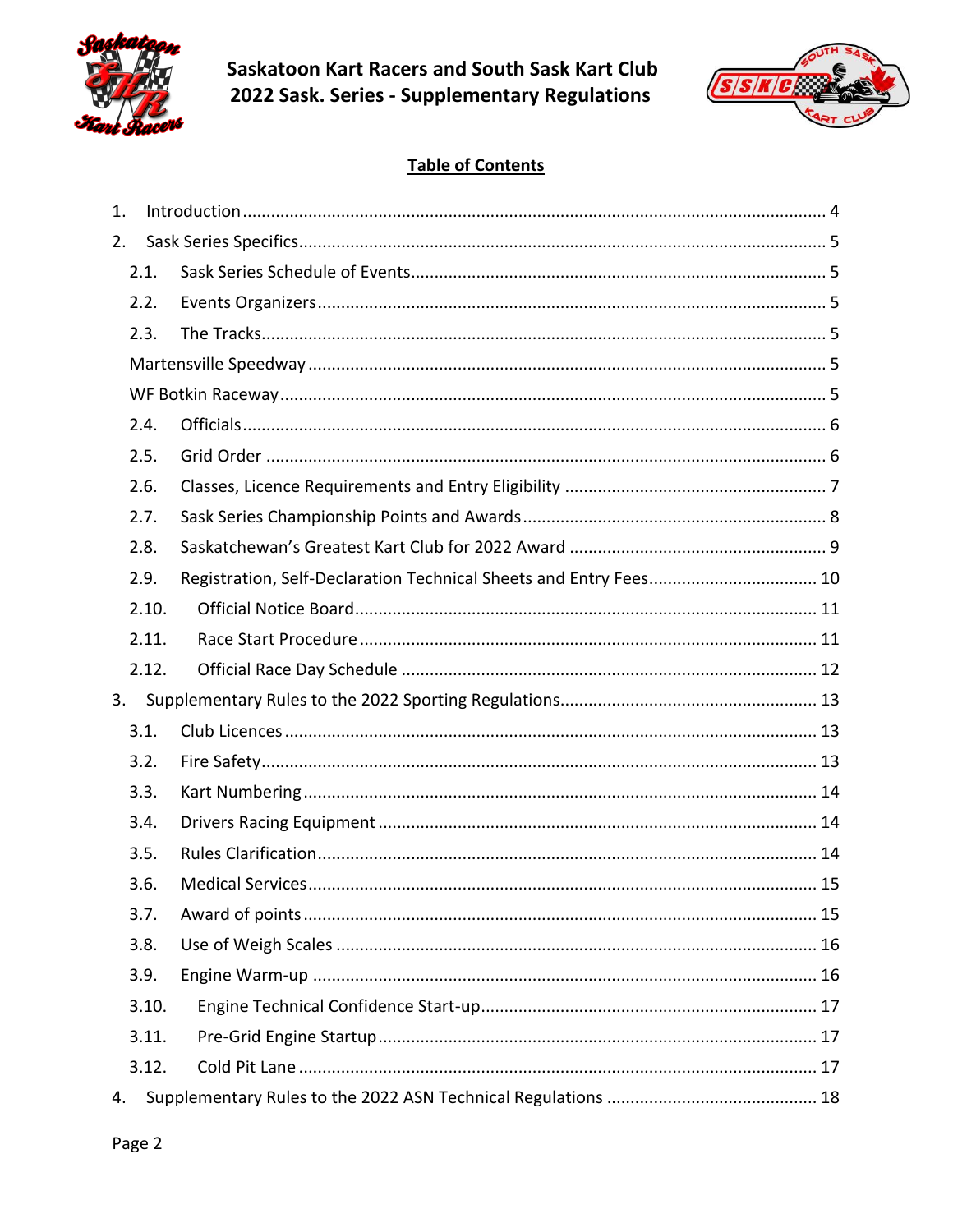



## **Table of Contents**

| 1. |       |  |
|----|-------|--|
| 2. |       |  |
|    | 2.1.  |  |
|    | 2.2.  |  |
|    | 2.3.  |  |
|    |       |  |
|    |       |  |
|    | 2.4.  |  |
|    | 2.5.  |  |
|    | 2.6.  |  |
|    | 2.7.  |  |
|    | 2.8.  |  |
|    | 2.9.  |  |
|    | 2.10. |  |
|    | 2.11. |  |
|    | 2.12. |  |
| 3. |       |  |
|    | 3.1.  |  |
|    | 3.2.  |  |
|    | 3.3.  |  |
|    | 3.4.  |  |
|    | 3.5.  |  |
|    | 3.6.  |  |
|    | 3.7.  |  |
|    | 3.8.  |  |
|    | 3.9.  |  |
|    | 3.10. |  |
|    | 3.11. |  |
|    | 3.12. |  |
| 4. |       |  |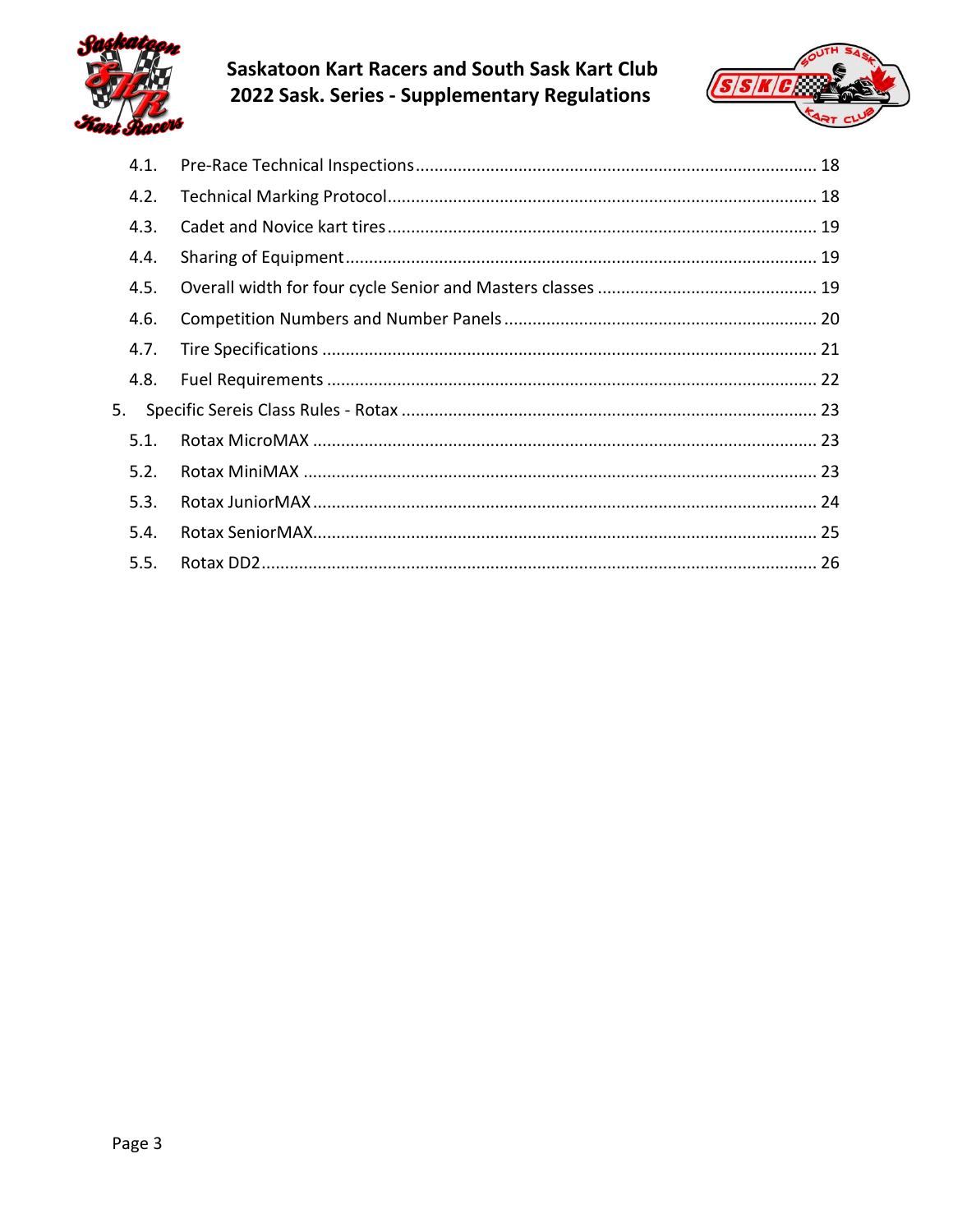

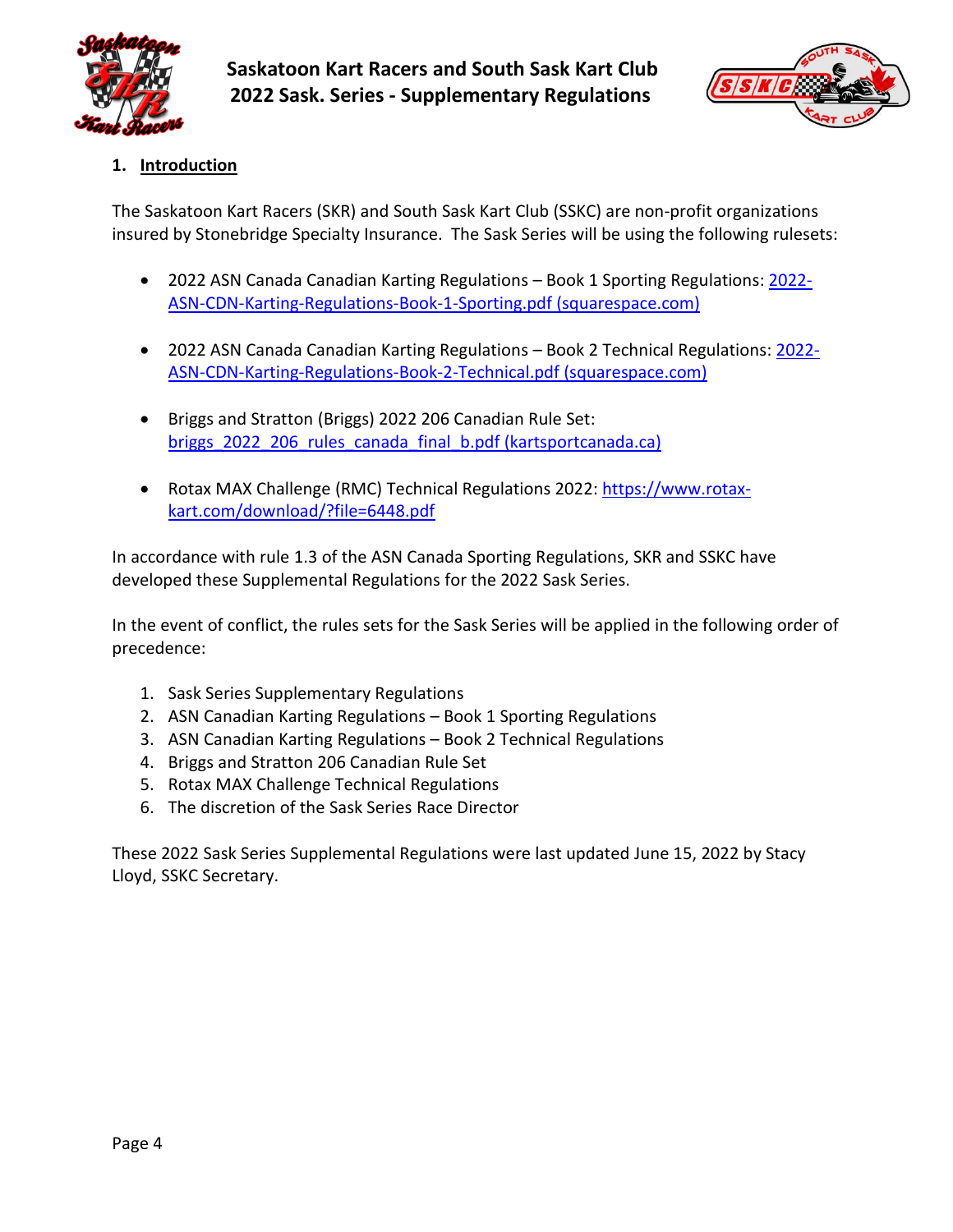



## <span id="page-3-0"></span>**1. Introduction**

The Saskatoon Kart Racers (SKR) and South Sask Kart Club (SSKC) are non-profit organizations insured by Stonebridge Specialty Insurance. The Sask Series will be using the following rulesets:

- 2022 ASN Canada Canadian Karting Regulations Book 1 Sporting Regulations: [2022-](https://static1.squarespace.com/static/5ec3f6ee0e3c5849fde5aece/t/622779f5cec0a47de55bc7ae/1646754294707/2022-ASN-CDN-Karting-Regulations-Book-1-Sporting.pdf) [ASN-CDN-Karting-Regulations-Book-1-Sporting.pdf \(squarespace.com\)](https://static1.squarespace.com/static/5ec3f6ee0e3c5849fde5aece/t/622779f5cec0a47de55bc7ae/1646754294707/2022-ASN-CDN-Karting-Regulations-Book-1-Sporting.pdf)
- 2022 ASN Canada Canadian Karting Regulations Book 2 Technical Regulations[: 2022-](https://static1.squarespace.com/static/5ec3f6ee0e3c5849fde5aece/t/62277a1c0dc4556c867a2dca/1646754333306/2022-ASN-CDN-Karting-Regulations-Book-2-Technical.pdf) [ASN-CDN-Karting-Regulations-Book-2-Technical.pdf \(squarespace.com\)](https://static1.squarespace.com/static/5ec3f6ee0e3c5849fde5aece/t/62277a1c0dc4556c867a2dca/1646754333306/2022-ASN-CDN-Karting-Regulations-Book-2-Technical.pdf)
- Briggs and Stratton (Briggs) 2022 206 Canadian Rule Set: briggs 2022 206 rules canada final b.pdf (kartsportcanada.ca)
- Rotax MAX Challenge (RMC) Technical Regulations 2022: [https://www.rotax](https://www.rotax-kart.com/download/?file=6448.pdf)[kart.com/download/?file=6448.pdf](https://www.rotax-kart.com/download/?file=6448.pdf)

In accordance with rule 1.3 of the ASN Canada Sporting Regulations, SKR and SSKC have developed these Supplemental Regulations for the 2022 Sask Series.

In the event of conflict, the rules sets for the Sask Series will be applied in the following order of precedence:

- 1. Sask Series Supplementary Regulations
- 2. ASN Canadian Karting Regulations Book 1 Sporting Regulations
- 3. ASN Canadian Karting Regulations Book 2 Technical Regulations
- 4. Briggs and Stratton 206 Canadian Rule Set
- 5. Rotax MAX Challenge Technical Regulations
- 6. The discretion of the Sask Series Race Director

These 2022 Sask Series Supplemental Regulations were last updated June 15, 2022 by Stacy Lloyd, SSKC Secretary.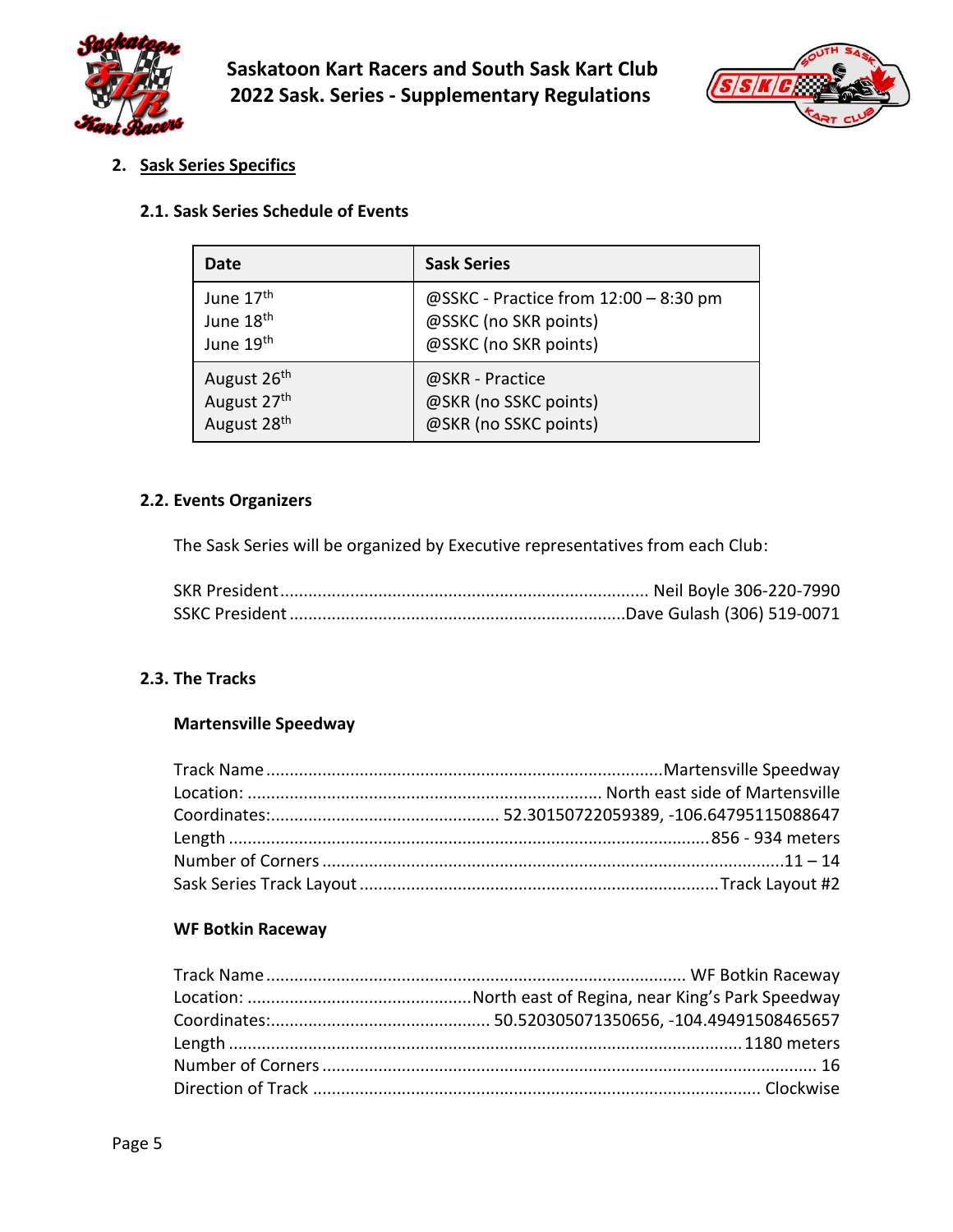



<span id="page-4-0"></span>**2. Sask Series Specifics**

#### <span id="page-4-1"></span>**2.1. Sask Series Schedule of Events**

| Date                    | <b>Sask Series</b>                    |  |  |
|-------------------------|---------------------------------------|--|--|
| June 17 <sup>th</sup>   | @SSKC - Practice from 12:00 - 8:30 pm |  |  |
| June 18 <sup>th</sup>   | @SSKC (no SKR points)                 |  |  |
| June 19 <sup>th</sup>   | @SSKC (no SKR points)                 |  |  |
| August 26th             | @SKR - Practice                       |  |  |
| August 27th             | @SKR (no SSKC points)                 |  |  |
| August 28 <sup>th</sup> | @SKR (no SSKC points)                 |  |  |

## <span id="page-4-2"></span>**2.2. Events Organizers**

The Sask Series will be organized by Executive representatives from each Club:

#### <span id="page-4-4"></span><span id="page-4-3"></span>**2.3. The Tracks**

## **Martensville Speedway**

## <span id="page-4-5"></span>**WF Botkin Raceway**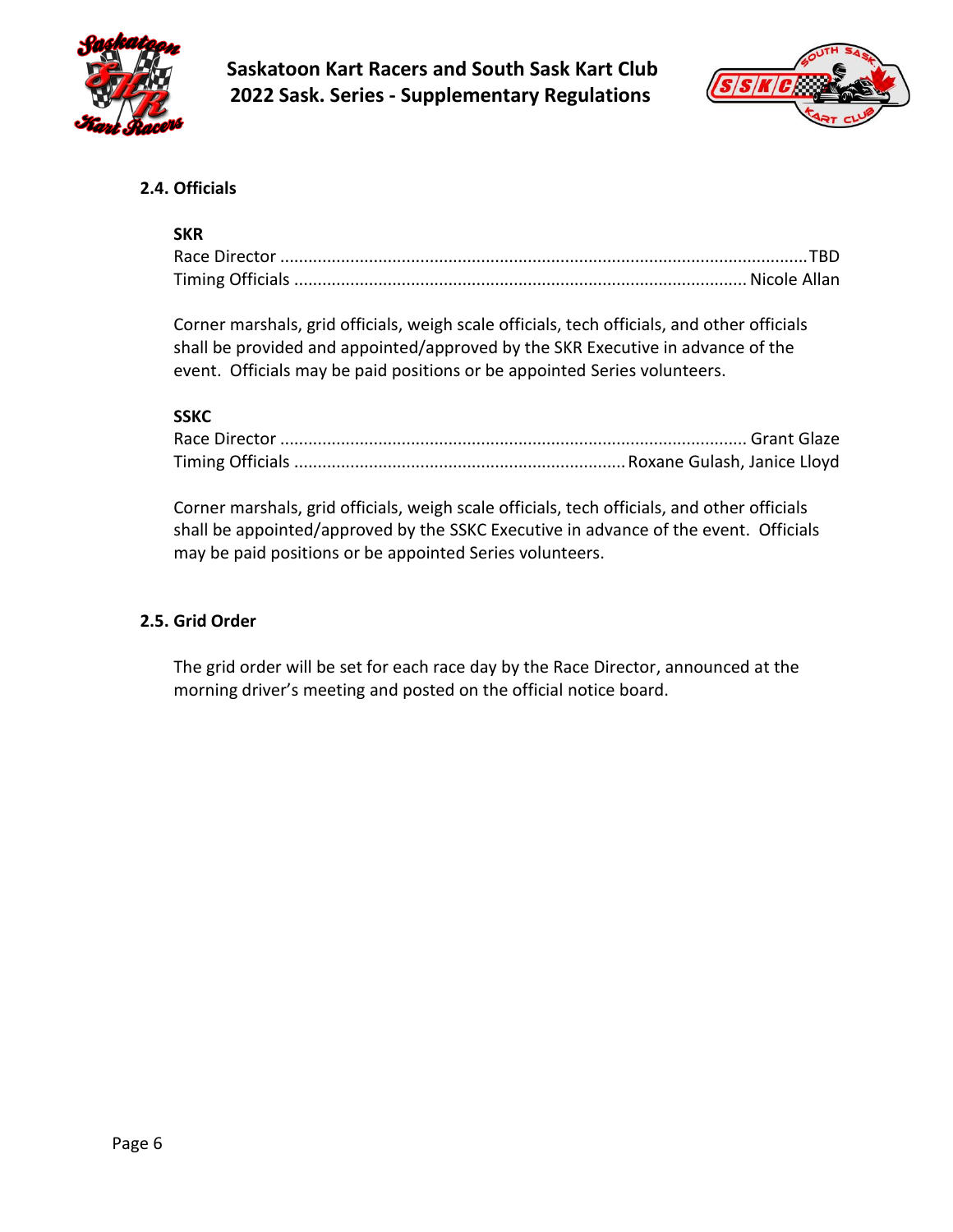



## <span id="page-5-0"></span>**2.4. Officials**

## **SKR**

Corner marshals, grid officials, weigh scale officials, tech officials, and other officials shall be provided and appointed/approved by the SKR Executive in advance of the event. Officials may be paid positions or be appointed Series volunteers.

## **SSKC**

Corner marshals, grid officials, weigh scale officials, tech officials, and other officials shall be appointed/approved by the SSKC Executive in advance of the event. Officials may be paid positions or be appointed Series volunteers.

## <span id="page-5-1"></span>**2.5. Grid Order**

The grid order will be set for each race day by the Race Director, announced at the morning driver's meeting and posted on the official notice board.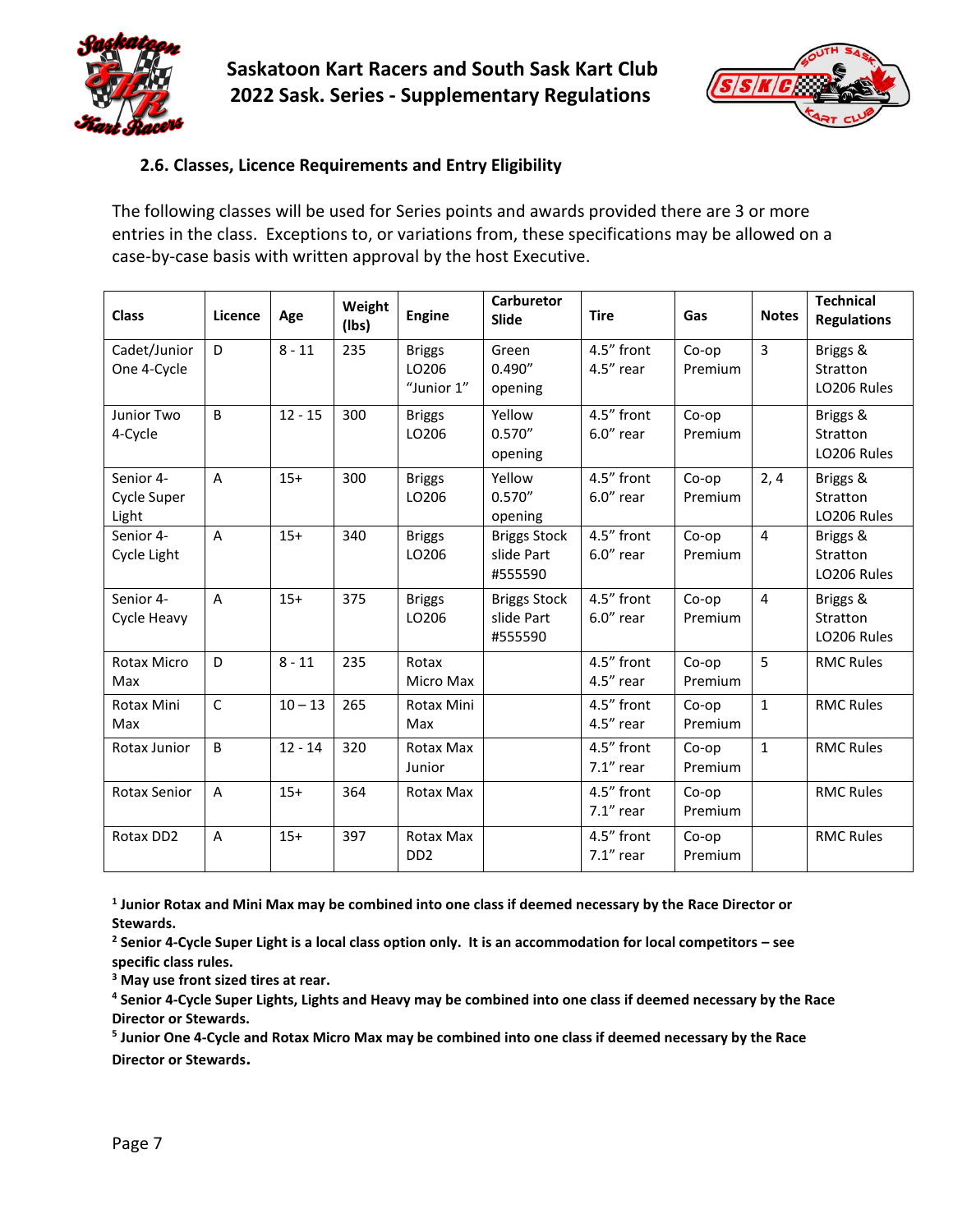



## <span id="page-6-0"></span>**2.6. Classes, Licence Requirements and Entry Eligibility**

The following classes will be used for Series points and awards provided there are 3 or more entries in the class. Exceptions to, or variations from, these specifications may be allowed on a case-by-case basis with written approval by the host Executive.

| <b>Class</b>                      | Licence        | Age       | Weight<br>(lbs) | <b>Engine</b>                            | Carburetor<br><b>Slide</b>                   | <b>Tire</b>                | Gas              | <b>Notes</b>   | <b>Technical</b><br><b>Regulations</b> |
|-----------------------------------|----------------|-----------|-----------------|------------------------------------------|----------------------------------------------|----------------------------|------------------|----------------|----------------------------------------|
| Cadet/Junior<br>One 4-Cycle       | D              | $8 - 11$  | 235             | <b>Briggs</b><br>LO206<br>"Junior 1"     | Green<br>0.490''<br>opening                  | 4.5" front<br>$4.5''$ rear | Co-op<br>Premium | $\overline{3}$ | Briggs &<br>Stratton<br>LO206 Rules    |
| Junior Two<br>4-Cycle             | <sub>B</sub>   | $12 - 15$ | 300             | <b>Briggs</b><br>LO206                   | Yellow<br>0.570''<br>opening                 | 4.5" front<br>$6.0$ " rear | Co-op<br>Premium |                | Briggs &<br>Stratton<br>LO206 Rules    |
| Senior 4-<br>Cycle Super<br>Light | A              | $15+$     | 300             | <b>Briggs</b><br>LO206                   | Yellow<br>0.570''<br>opening                 | 4.5" front<br>$6.0$ " rear | Co-op<br>Premium | 2, 4           | Briggs &<br>Stratton<br>LO206 Rules    |
| Senior 4-<br>Cycle Light          | $\overline{A}$ | $15+$     | 340             | <b>Briggs</b><br>LO206                   | <b>Briggs Stock</b><br>slide Part<br>#555590 | 4.5" front<br>$6.0$ " rear | Co-op<br>Premium | $\overline{4}$ | Briggs &<br>Stratton<br>LO206 Rules    |
| Senior 4-<br>Cycle Heavy          | $\overline{A}$ | $15+$     | 375             | <b>Briggs</b><br>LO206                   | <b>Briggs Stock</b><br>slide Part<br>#555590 | 4.5" front<br>$6.0$ " rear | Co-op<br>Premium | $\overline{4}$ | Briggs &<br>Stratton<br>LO206 Rules    |
| <b>Rotax Micro</b><br>Max         | D              | $8 - 11$  | 235             | Rotax<br>Micro Max                       |                                              | 4.5" front<br>$4.5''$ rear | Co-op<br>Premium | 5              | <b>RMC Rules</b>                       |
| Rotax Mini<br>Max                 | $\mathsf{C}$   | $10 - 13$ | 265             | Rotax Mini<br>Max                        |                                              | 4.5" front<br>4.5" rear    | Co-op<br>Premium | $\mathbf{1}$   | <b>RMC Rules</b>                       |
| Rotax Junior                      | B              | $12 - 14$ | 320             | Rotax Max<br>Junior                      |                                              | 4.5" front<br>$7.1"$ rear  | Co-op<br>Premium | $\mathbf{1}$   | <b>RMC Rules</b>                       |
| Rotax Senior                      | A              | $15+$     | 364             | Rotax Max                                |                                              | 4.5" front<br>$7.1"$ rear  | Co-op<br>Premium |                | <b>RMC Rules</b>                       |
| Rotax DD2                         | A              | $15+$     | 397             | Rotax Max<br>D <sub>D</sub> <sub>2</sub> |                                              | 4.5" front<br>$7.1"$ rear  | Co-op<br>Premium |                | <b>RMC Rules</b>                       |

**1 Junior Rotax and Mini Max may be combined into one class if deemed necessary by the Race Director or Stewards.**

**<sup>2</sup> Senior 4-Cycle Super Light is a local class option only. It is an accommodation for local competitors – see specific class rules.**

**<sup>3</sup> May use front sized tires at rear.** 

**<sup>4</sup> Senior 4-Cycle Super Lights, Lights and Heavy may be combined into one class if deemed necessary by the Race Director or Stewards.**

**5 Junior One 4-Cycle and Rotax Micro Max may be combined into one class if deemed necessary by the Race Director or Stewards.**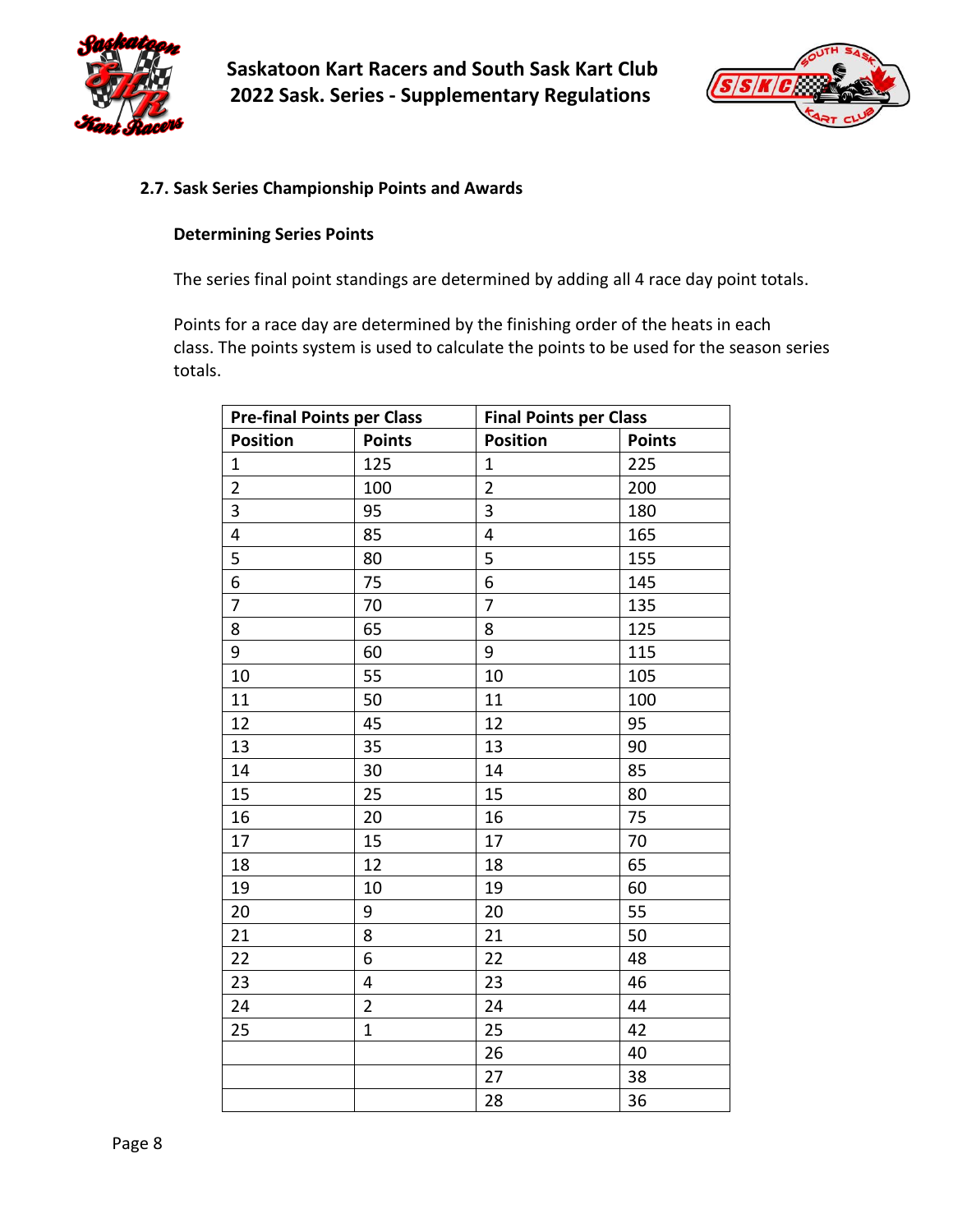



#### <span id="page-7-0"></span>**2.7. Sask Series Championship Points and Awards**

#### **Determining Series Points**

The series final point standings are determined by adding all 4 race day point totals.

Points for a race day are determined by the finishing order of the heats in each class. The points system is used to calculate the points to be used for the season series totals.

| <b>Pre-final Points per Class</b> |                | <b>Final Points per Class</b> |               |  |
|-----------------------------------|----------------|-------------------------------|---------------|--|
| Position                          | <b>Points</b>  | Position                      | <b>Points</b> |  |
| $\mathbf 1$                       | 125            | 1                             | 225           |  |
| $\overline{2}$                    | 100            | $\overline{2}$                | 200           |  |
| 3                                 | 95             | 3                             | 180           |  |
| $\overline{\mathbf{4}}$           | 85             | 4                             | 165           |  |
| 5                                 | 80             | 5                             | 155           |  |
| $\overline{6}$                    | 75             | 6                             | 145           |  |
| $\overline{7}$                    | 70             | $\overline{7}$                | 135           |  |
| 8                                 | 65             | 8                             | 125           |  |
| 9                                 | 60             | 9                             | 115           |  |
| 10                                | 55             | 10                            | 105           |  |
| 11                                | 50             | 11                            | 100           |  |
| 12                                | 45             | 12                            | 95            |  |
| 13                                | 35             | 13                            | 90            |  |
| 14                                | 30             | 14                            | 85            |  |
| 15                                | 25             | 15                            | 80            |  |
| 16                                | 20             | 16                            | 75            |  |
| 17                                | 15             | 17                            | 70            |  |
| 18                                | 12             | 18                            | 65            |  |
| 19                                | 10             | 19                            | 60            |  |
| 20                                | 9              | 20                            | 55            |  |
| 21                                | 8              | 21                            | 50            |  |
| 22                                | 6              | 22                            | 48            |  |
| 23                                | 4              | 23                            | 46            |  |
| 24                                | $\overline{2}$ | 24                            | 44            |  |
| 25                                | $\mathbf{1}$   | 25                            | 42            |  |
|                                   |                | 26                            | 40            |  |
|                                   |                | 27                            | 38            |  |
|                                   |                | 28                            | 36            |  |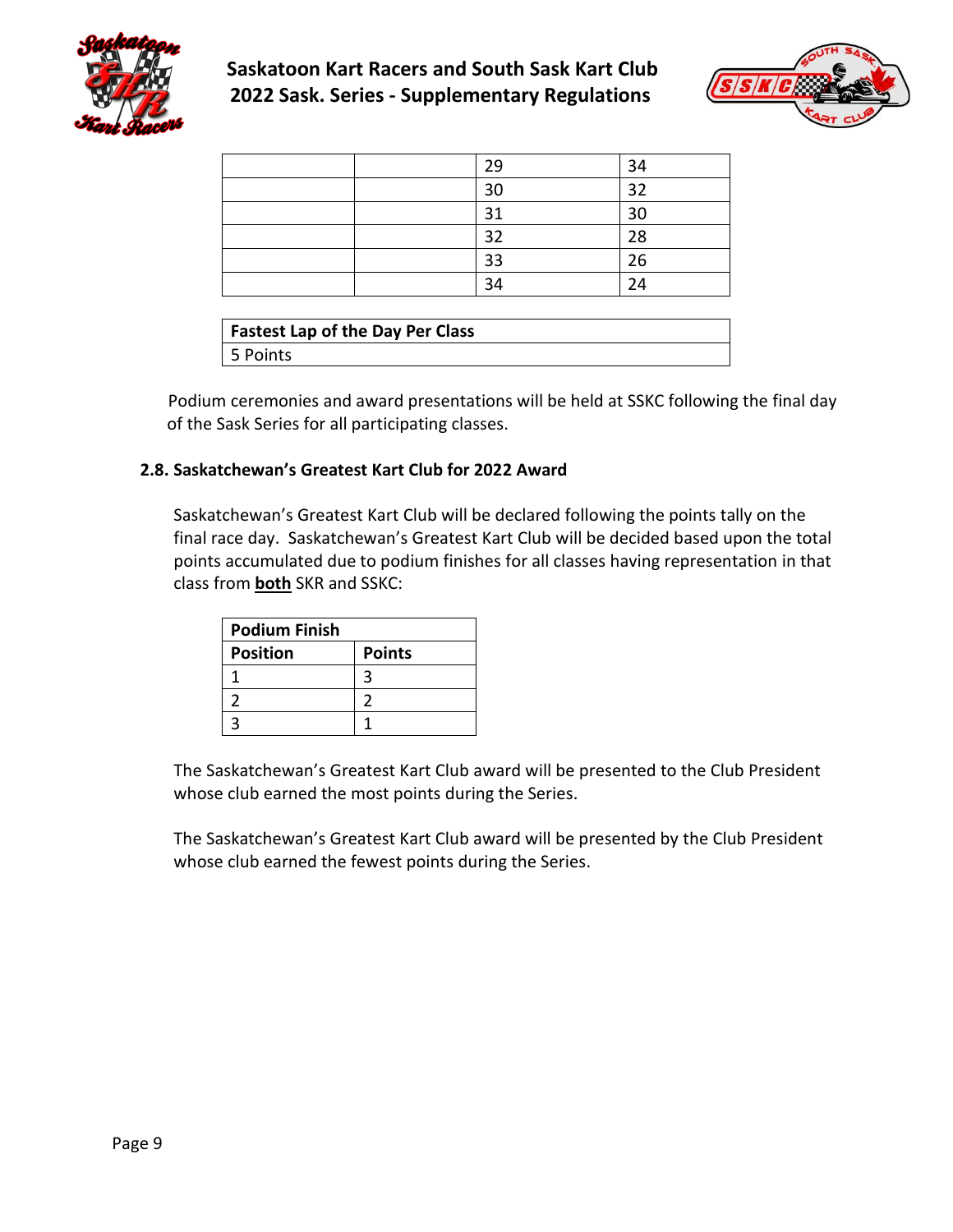



|  | 29 | 34 |
|--|----|----|
|  | 30 | 32 |
|  | 31 | 30 |
|  | 32 | 28 |
|  | 33 | 26 |
|  | 34 | 24 |
|  |    |    |

| <b>Fastest Lap of the Day Per Class</b> |  |  |  |  |
|-----------------------------------------|--|--|--|--|
| 5 Points                                |  |  |  |  |

Podium ceremonies and award presentations will be held at SSKC following the final day of the Sask Series for all participating classes.

## <span id="page-8-0"></span>**2.8. Saskatchewan's Greatest Kart Club for 2022 Award**

Saskatchewan's Greatest Kart Club will be declared following the points tally on the final race day. Saskatchewan's Greatest Kart Club will be decided based upon the total points accumulated due to podium finishes for all classes having representation in that class from **both** SKR and SSKC:

| <b>Podium Finish</b> |               |
|----------------------|---------------|
| <b>Position</b>      | <b>Points</b> |
|                      |               |
|                      |               |
|                      |               |

The Saskatchewan's Greatest Kart Club award will be presented to the Club President whose club earned the most points during the Series.

The Saskatchewan's Greatest Kart Club award will be presented by the Club President whose club earned the fewest points during the Series.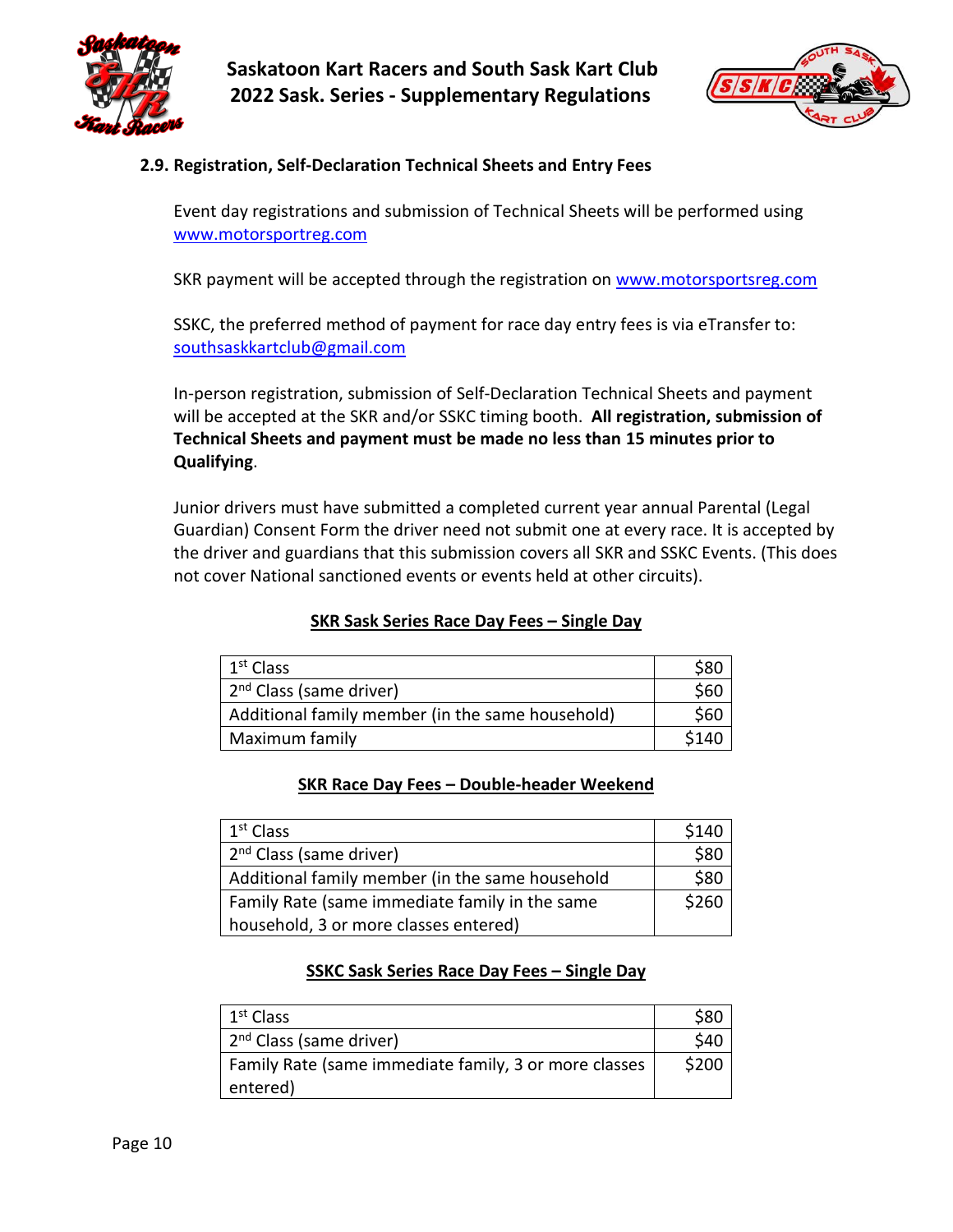



#### <span id="page-9-0"></span>**2.9. Registration, Self-Declaration Technical Sheets and Entry Fees**

Event day registrations and submission of Technical Sheets will be performed using [www.motorsportreg.com](http://www.motorsportreg.com/)

SKR payment will be accepted through the registration on [www.motorsportsreg.com](http://www.motorsportsreg.com/)

SSKC, the preferred method of payment for race day entry fees is via eTransfer to: [southsaskkartclub@gmail.com](mailto:southsaskkartclub@gmail.com)

In-person registration, submission of Self-Declaration Technical Sheets and payment will be accepted at the SKR and/or SSKC timing booth. **All registration, submission of Technical Sheets and payment must be made no less than 15 minutes prior to Qualifying**.

Junior drivers must have submitted a completed current year annual Parental (Legal Guardian) Consent Form the driver need not submit one at every race. It is accepted by the driver and guardians that this submission covers all SKR and SSKC Events. (This does not cover National sanctioned events or events held at other circuits).

| 1 <sup>st</sup> Class                            | S80   |
|--------------------------------------------------|-------|
| 2 <sup>nd</sup> Class (same driver)              | \$60  |
| Additional family member (in the same household) | \$60  |
| Maximum family                                   | \$140 |

#### **SKR Sask Series Race Day Fees – Single Day**

#### **SKR Race Day Fees – Double-header Weekend**

| $1st$ Class                                     | \$140 |
|-------------------------------------------------|-------|
| 2 <sup>nd</sup> Class (same driver)             | \$80  |
| Additional family member (in the same household |       |
| Family Rate (same immediate family in the same  |       |
| household, 3 or more classes entered)           |       |

## **SSKC Sask Series Race Day Fees – Single Day**

| 1 <sup>st</sup> Class                                 | \$80 |
|-------------------------------------------------------|------|
| 2 <sup>nd</sup> Class (same driver)                   | \$40 |
| Family Rate (same immediate family, 3 or more classes |      |
| entered)                                              |      |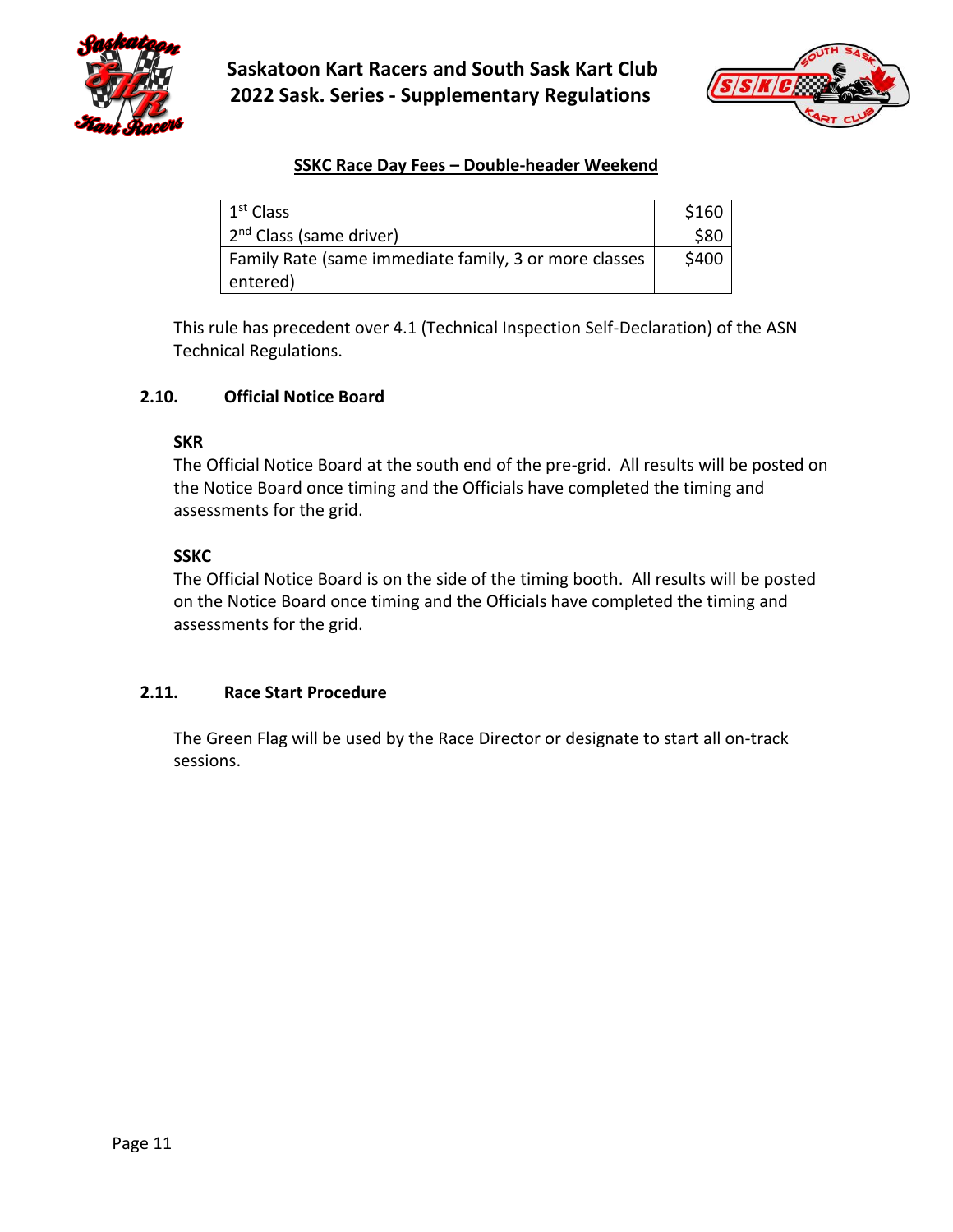



## **SSKC Race Day Fees – Double-header Weekend**

| 1 <sup>st</sup> Class                                 | \$160 |
|-------------------------------------------------------|-------|
| 2 <sup>nd</sup> Class (same driver)                   | \$80  |
| Family Rate (same immediate family, 3 or more classes |       |
| entered)                                              |       |

This rule has precedent over 4.1 (Technical Inspection Self-Declaration) of the ASN Technical Regulations.

#### <span id="page-10-0"></span>**2.10. Official Notice Board**

#### **SKR**

The Official Notice Board at the south end of the pre-grid. All results will be posted on the Notice Board once timing and the Officials have completed the timing and assessments for the grid.

#### **SSKC**

The Official Notice Board is on the side of the timing booth. All results will be posted on the Notice Board once timing and the Officials have completed the timing and assessments for the grid.

## <span id="page-10-1"></span>**2.11. Race Start Procedure**

The Green Flag will be used by the Race Director or designate to start all on-track sessions.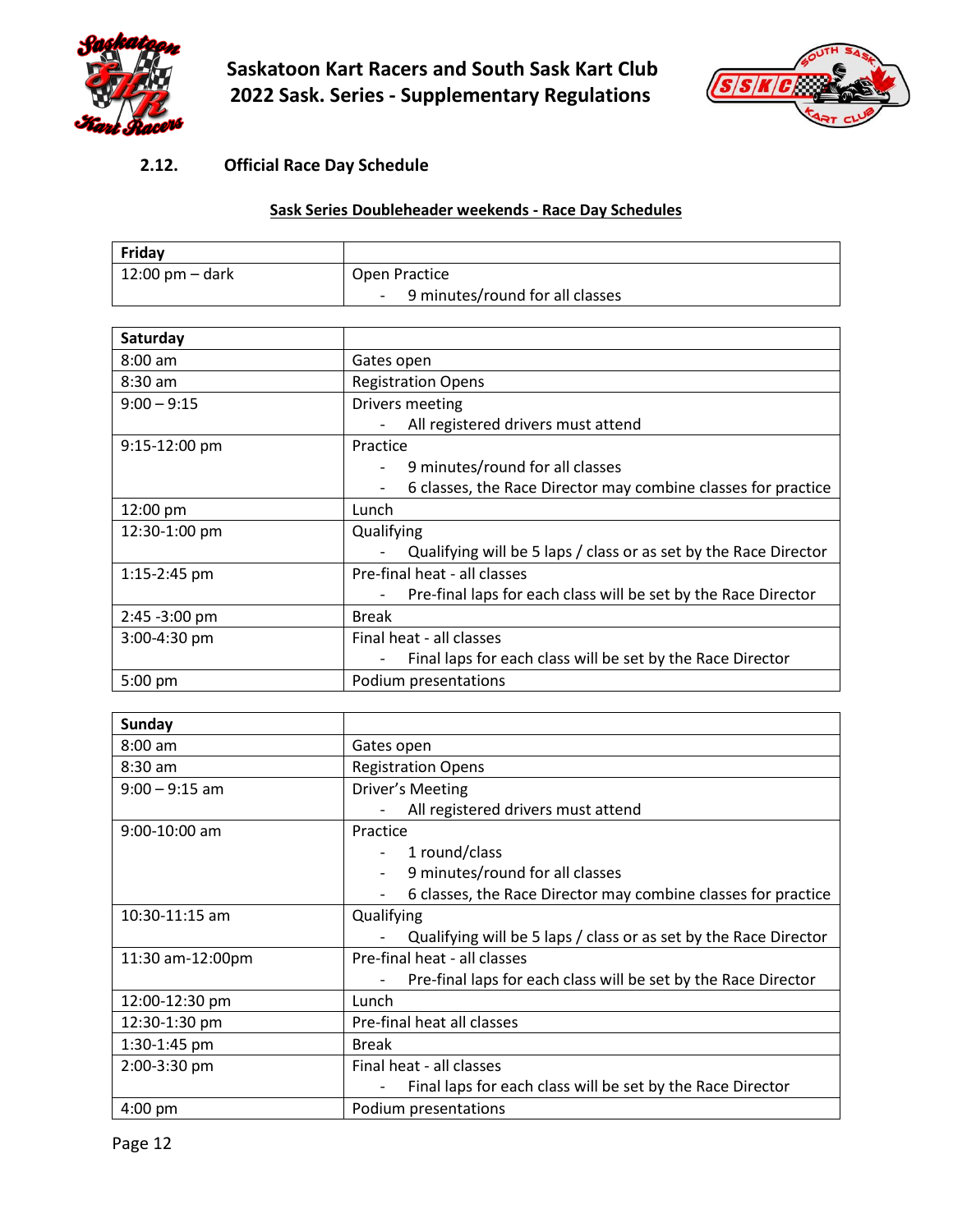



## <span id="page-11-0"></span>**2.12. Official Race Day Schedule**

## **Sask Series Doubleheader weekends - Race Day Schedules**

| Fridav                           |                                         |  |
|----------------------------------|-----------------------------------------|--|
| $12:00 \text{ pm} - \text{dark}$ | Open Practice                           |  |
|                                  | 9 minutes/round for all classes<br>$ -$ |  |

| Saturday                 |                                                                                            |
|--------------------------|--------------------------------------------------------------------------------------------|
| $8:00$ am                | Gates open                                                                                 |
| $8:30$ am                | <b>Registration Opens</b>                                                                  |
| $9:00 - 9:15$            | Drivers meeting                                                                            |
|                          | All registered drivers must attend                                                         |
| $9:15-12:00$ pm          | Practice                                                                                   |
|                          | 9 minutes/round for all classes                                                            |
|                          | 6 classes, the Race Director may combine classes for practice                              |
| 12:00 pm                 | Lunch                                                                                      |
| 12:30-1:00 pm            | Qualifying                                                                                 |
|                          | Qualifying will be 5 laps / class or as set by the Race Director                           |
| 1:15-2:45 pm             | Pre-final heat - all classes                                                               |
|                          | Pre-final laps for each class will be set by the Race Director<br>$\overline{\phantom{a}}$ |
| $2:45 - 3:00 \text{ pm}$ | <b>Break</b>                                                                               |
| 3:00-4:30 pm             | Final heat - all classes                                                                   |
|                          | Final laps for each class will be set by the Race Director                                 |
| 5:00 pm                  | Podium presentations                                                                       |

| <b>Sunday</b>    |                                                                  |
|------------------|------------------------------------------------------------------|
| $8:00$ am        | Gates open                                                       |
| 8:30 am          | <b>Registration Opens</b>                                        |
| $9:00 - 9:15$ am | Driver's Meeting                                                 |
|                  | All registered drivers must attend                               |
| $9:00-10:00$ am  | Practice                                                         |
|                  | 1 round/class                                                    |
|                  | 9 minutes/round for all classes                                  |
|                  | 6 classes, the Race Director may combine classes for practice    |
| 10:30-11:15 am   | Qualifying                                                       |
|                  | Qualifying will be 5 laps / class or as set by the Race Director |
| 11:30 am-12:00pm | Pre-final heat - all classes                                     |
|                  | Pre-final laps for each class will be set by the Race Director   |
| 12:00-12:30 pm   | Lunch                                                            |
| 12:30-1:30 pm    | Pre-final heat all classes                                       |
| 1:30-1:45 pm     | <b>Break</b>                                                     |
| 2:00-3:30 pm     | Final heat - all classes                                         |
|                  | Final laps for each class will be set by the Race Director       |
| $4:00$ pm        | Podium presentations                                             |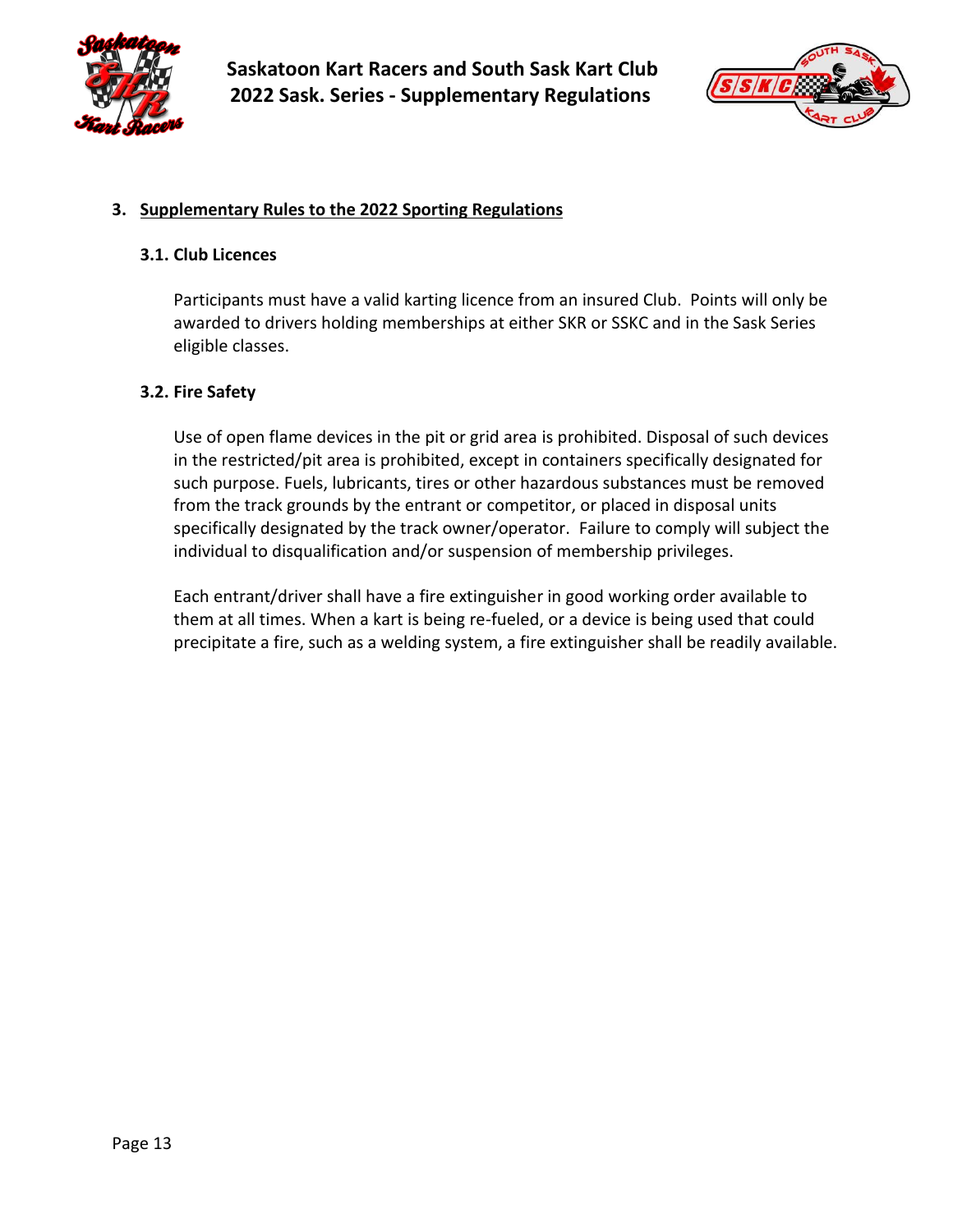



#### <span id="page-12-0"></span>**3. Supplementary Rules to the 2022 Sporting Regulations**

#### <span id="page-12-1"></span>**3.1. Club Licences**

Participants must have a valid karting licence from an insured Club. Points will only be awarded to drivers holding memberships at either SKR or SSKC and in the Sask Series eligible classes.

#### <span id="page-12-2"></span>**3.2. Fire Safety**

Use of open flame devices in the pit or grid area is prohibited. Disposal of such devices in the restricted/pit area is prohibited, except in containers specifically designated for such purpose. Fuels, lubricants, tires or other hazardous substances must be removed from the track grounds by the entrant or competitor, or placed in disposal units specifically designated by the track owner/operator. Failure to comply will subject the individual to disqualification and/or suspension of membership privileges.

Each entrant/driver shall have a fire extinguisher in good working order available to them at all times. When a kart is being re-fueled, or a device is being used that could precipitate a fire, such as a welding system, a fire extinguisher shall be readily available.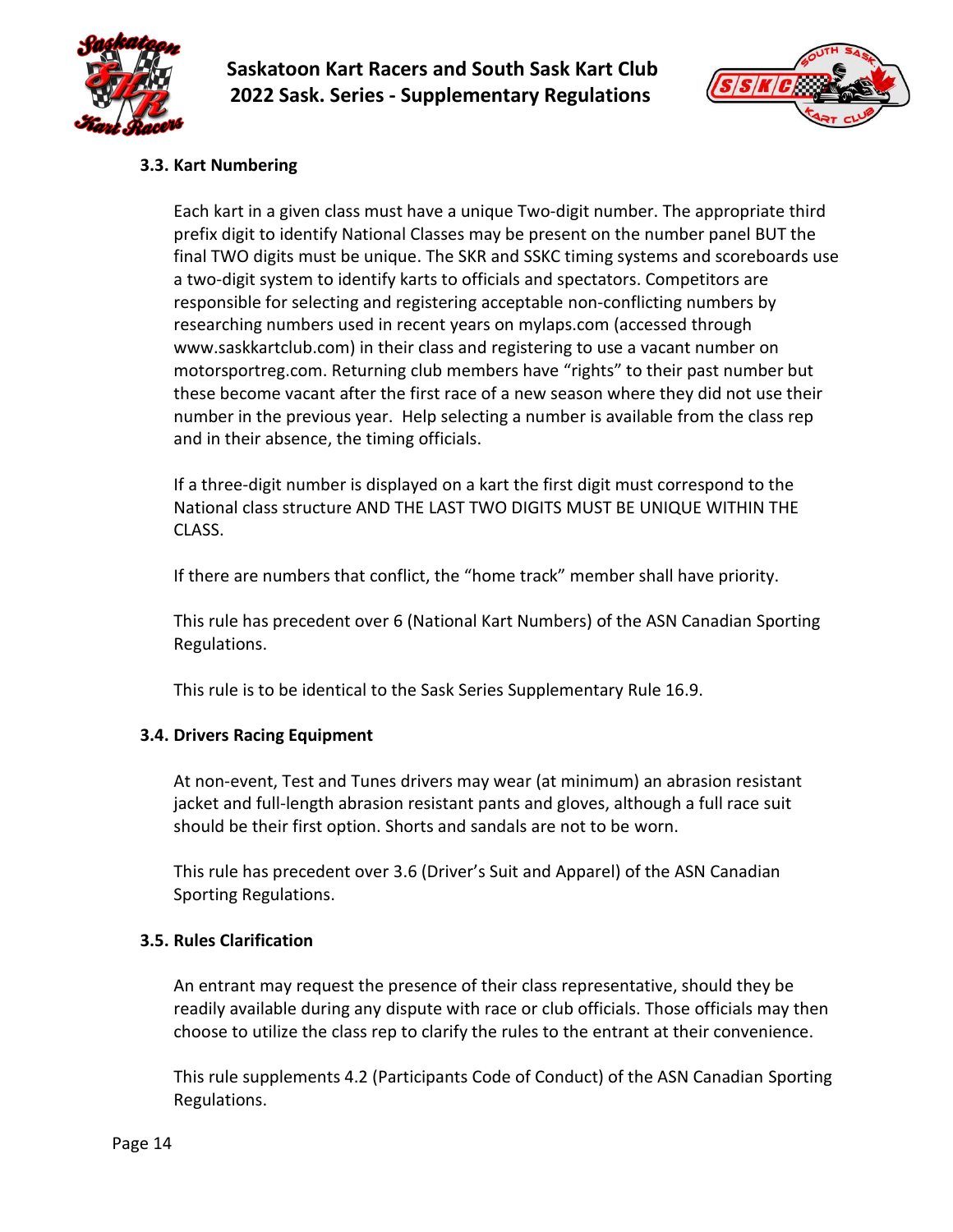



## <span id="page-13-0"></span>**3.3. Kart Numbering**

Each kart in a given class must have a unique Two-digit number. The appropriate third prefix digit to identify National Classes may be present on the number panel BUT the final TWO digits must be unique. The SKR and SSKC timing systems and scoreboards use a two-digit system to identify karts to officials and spectators. Competitors are responsible for selecting and registering acceptable non-conflicting numbers by researching numbers used in recent years on mylaps.com (accessed through www.saskkartclub.com) in their class and registering to use a vacant number on motorsportreg.com. Returning club members have "rights" to their past number but these become vacant after the first race of a new season where they did not use their number in the previous year. Help selecting a number is available from the class rep and in their absence, the timing officials.

If a three-digit number is displayed on a kart the first digit must correspond to the National class structure AND THE LAST TWO DIGITS MUST BE UNIQUE WITHIN THE CLASS.

If there are numbers that conflict, the "home track" member shall have priority.

This rule has precedent over 6 (National Kart Numbers) of the ASN Canadian Sporting Regulations.

This rule is to be identical to the Sask Series Supplementary Rule 16.9.

## <span id="page-13-1"></span>**3.4. Drivers Racing Equipment**

At non-event, Test and Tunes drivers may wear (at minimum) an abrasion resistant jacket and full-length abrasion resistant pants and gloves, although a full race suit should be their first option. Shorts and sandals are not to be worn.

This rule has precedent over 3.6 (Driver's Suit and Apparel) of the ASN Canadian Sporting Regulations.

#### <span id="page-13-2"></span>**3.5. Rules Clarification**

An entrant may request the presence of their class representative, should they be readily available during any dispute with race or club officials. Those officials may then choose to utilize the class rep to clarify the rules to the entrant at their convenience.

This rule supplements 4.2 (Participants Code of Conduct) of the ASN Canadian Sporting Regulations.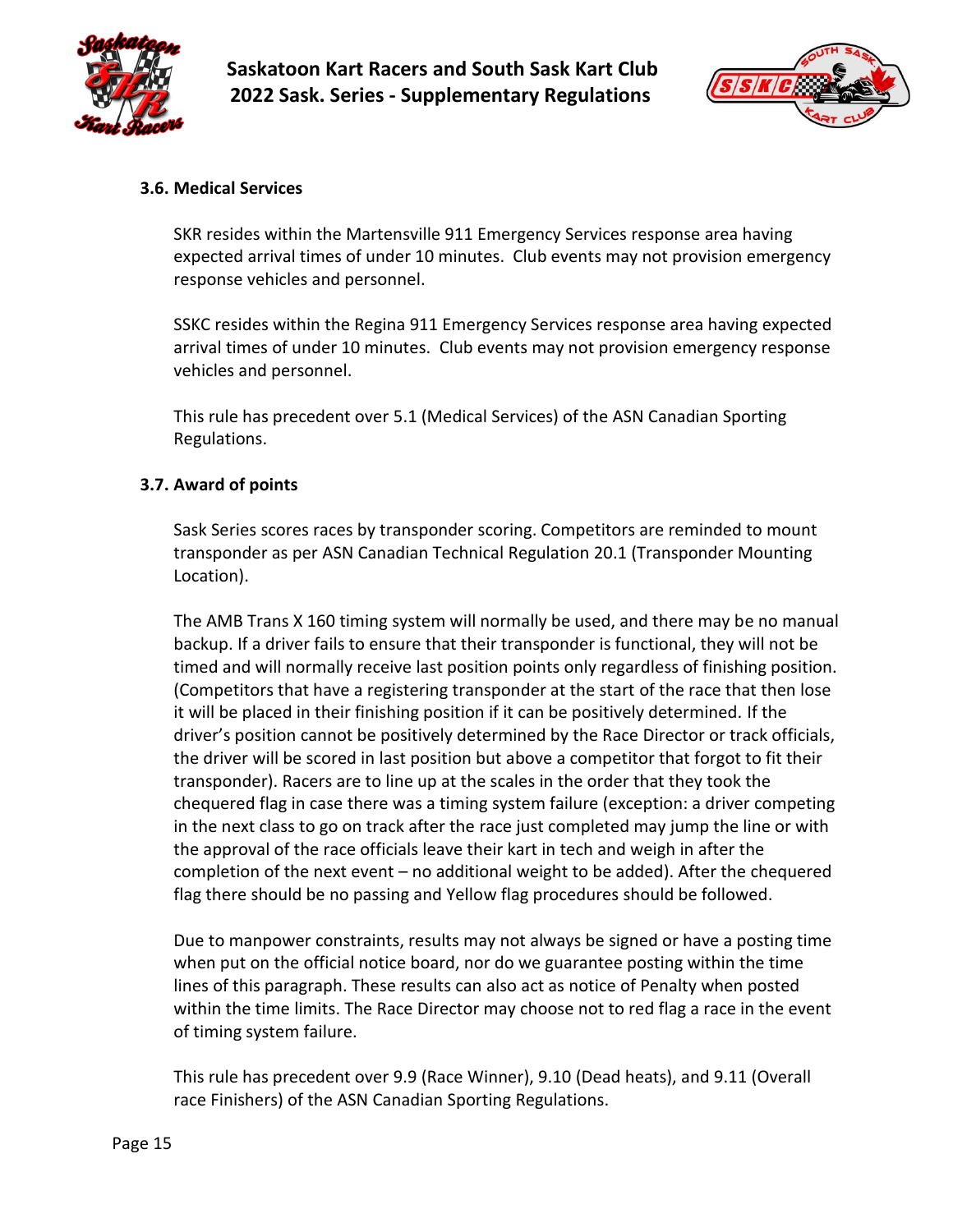



## <span id="page-14-0"></span>**3.6. Medical Services**

SKR resides within the Martensville 911 Emergency Services response area having expected arrival times of under 10 minutes. Club events may not provision emergency response vehicles and personnel.

SSKC resides within the Regina 911 Emergency Services response area having expected arrival times of under 10 minutes. Club events may not provision emergency response vehicles and personnel.

This rule has precedent over 5.1 (Medical Services) of the ASN Canadian Sporting Regulations.

#### <span id="page-14-1"></span>**3.7. Award of points**

Sask Series scores races by transponder scoring. Competitors are reminded to mount transponder as per ASN Canadian Technical Regulation 20.1 (Transponder Mounting Location).

The AMB Trans X 160 timing system will normally be used, and there may be no manual backup. If a driver fails to ensure that their transponder is functional, they will not be timed and will normally receive last position points only regardless of finishing position. (Competitors that have a registering transponder at the start of the race that then lose it will be placed in their finishing position if it can be positively determined. If the driver's position cannot be positively determined by the Race Director or track officials, the driver will be scored in last position but above a competitor that forgot to fit their transponder). Racers are to line up at the scales in the order that they took the chequered flag in case there was a timing system failure (exception: a driver competing in the next class to go on track after the race just completed may jump the line or with the approval of the race officials leave their kart in tech and weigh in after the completion of the next event – no additional weight to be added). After the chequered flag there should be no passing and Yellow flag procedures should be followed.

Due to manpower constraints, results may not always be signed or have a posting time when put on the official notice board, nor do we guarantee posting within the time lines of this paragraph. These results can also act as notice of Penalty when posted within the time limits. The Race Director may choose not to red flag a race in the event of timing system failure.

This rule has precedent over 9.9 (Race Winner), 9.10 (Dead heats), and 9.11 (Overall race Finishers) of the ASN Canadian Sporting Regulations.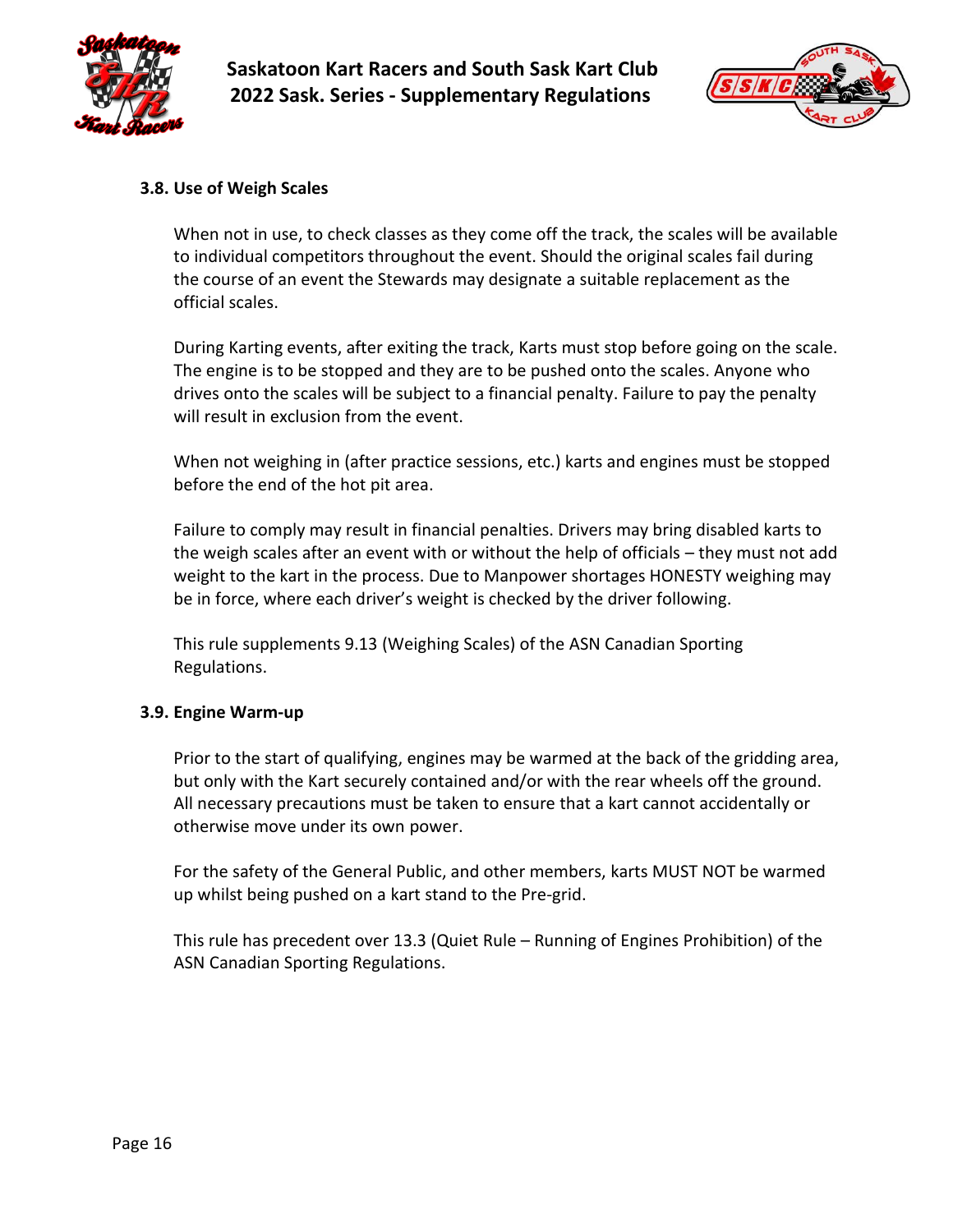



#### <span id="page-15-0"></span>**3.8. Use of Weigh Scales**

When not in use, to check classes as they come off the track, the scales will be available to individual competitors throughout the event. Should the original scales fail during the course of an event the Stewards may designate a suitable replacement as the official scales.

During Karting events, after exiting the track, Karts must stop before going on the scale. The engine is to be stopped and they are to be pushed onto the scales. Anyone who drives onto the scales will be subject to a financial penalty. Failure to pay the penalty will result in exclusion from the event.

When not weighing in (after practice sessions, etc.) karts and engines must be stopped before the end of the hot pit area.

Failure to comply may result in financial penalties. Drivers may bring disabled karts to the weigh scales after an event with or without the help of officials – they must not add weight to the kart in the process. Due to Manpower shortages HONESTY weighing may be in force, where each driver's weight is checked by the driver following.

This rule supplements 9.13 (Weighing Scales) of the ASN Canadian Sporting Regulations.

#### <span id="page-15-1"></span>**3.9. Engine Warm-up**

Prior to the start of qualifying, engines may be warmed at the back of the gridding area, but only with the Kart securely contained and/or with the rear wheels off the ground. All necessary precautions must be taken to ensure that a kart cannot accidentally or otherwise move under its own power.

For the safety of the General Public, and other members, karts MUST NOT be warmed up whilst being pushed on a kart stand to the Pre-grid.

This rule has precedent over 13.3 (Quiet Rule – Running of Engines Prohibition) of the ASN Canadian Sporting Regulations.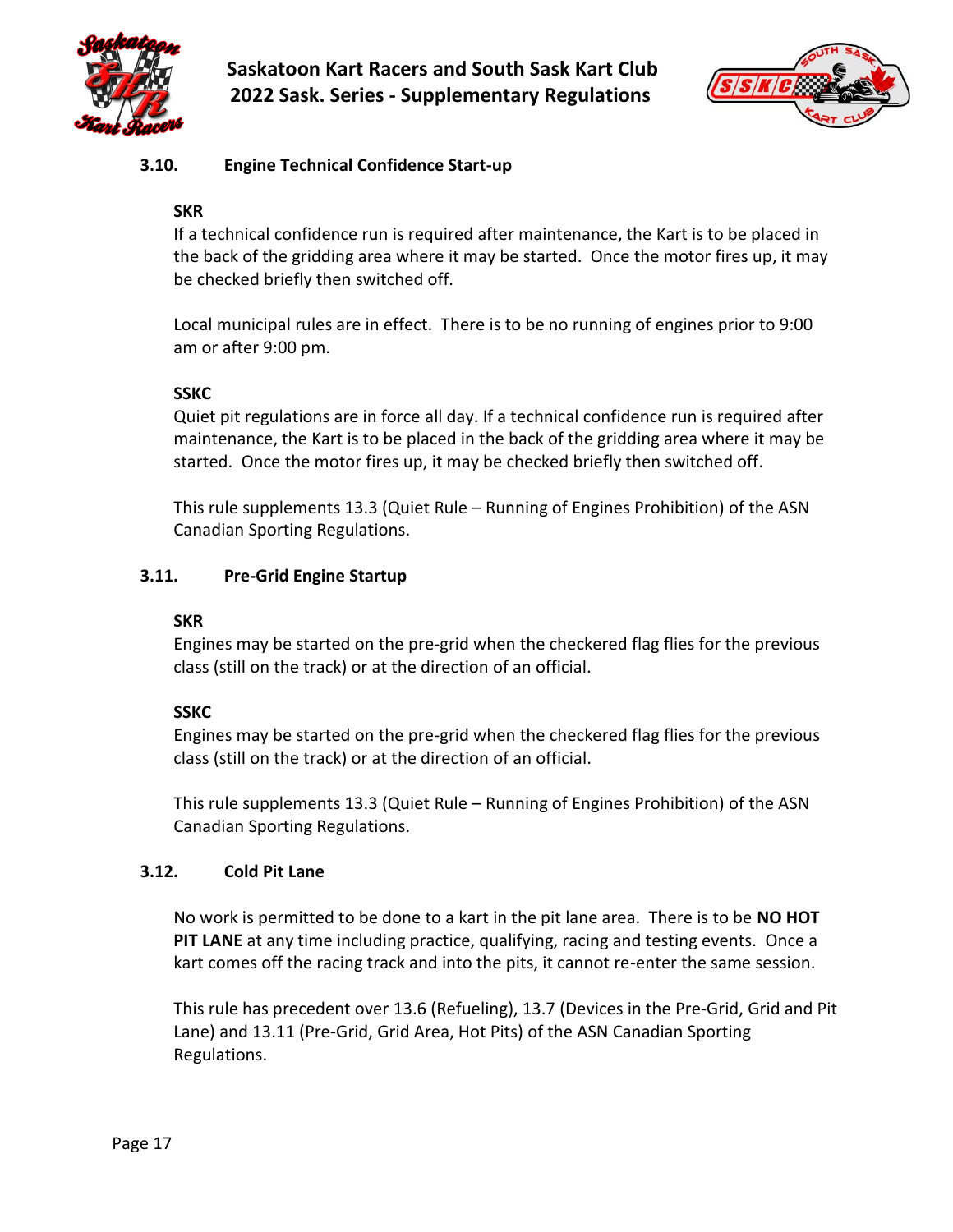



## <span id="page-16-0"></span>**3.10. Engine Technical Confidence Start-up**

## **SKR**

If a technical confidence run is required after maintenance, the Kart is to be placed in the back of the gridding area where it may be started. Once the motor fires up, it may be checked briefly then switched off.

Local municipal rules are in effect. There is to be no running of engines prior to 9:00 am or after 9:00 pm.

## **SSKC**

Quiet pit regulations are in force all day. If a technical confidence run is required after maintenance, the Kart is to be placed in the back of the gridding area where it may be started. Once the motor fires up, it may be checked briefly then switched off.

This rule supplements 13.3 (Quiet Rule – Running of Engines Prohibition) of the ASN Canadian Sporting Regulations.

## <span id="page-16-1"></span>**3.11. Pre-Grid Engine Startup**

#### **SKR**

Engines may be started on the pre-grid when the checkered flag flies for the previous class (still on the track) or at the direction of an official.

## **SSKC**

Engines may be started on the pre-grid when the checkered flag flies for the previous class (still on the track) or at the direction of an official.

This rule supplements 13.3 (Quiet Rule – Running of Engines Prohibition) of the ASN Canadian Sporting Regulations.

## <span id="page-16-2"></span>**3.12. Cold Pit Lane**

No work is permitted to be done to a kart in the pit lane area. There is to be **NO HOT PIT LANE** at any time including practice, qualifying, racing and testing events. Once a kart comes off the racing track and into the pits, it cannot re-enter the same session.

This rule has precedent over 13.6 (Refueling), 13.7 (Devices in the Pre-Grid, Grid and Pit Lane) and 13.11 (Pre-Grid, Grid Area, Hot Pits) of the ASN Canadian Sporting Regulations.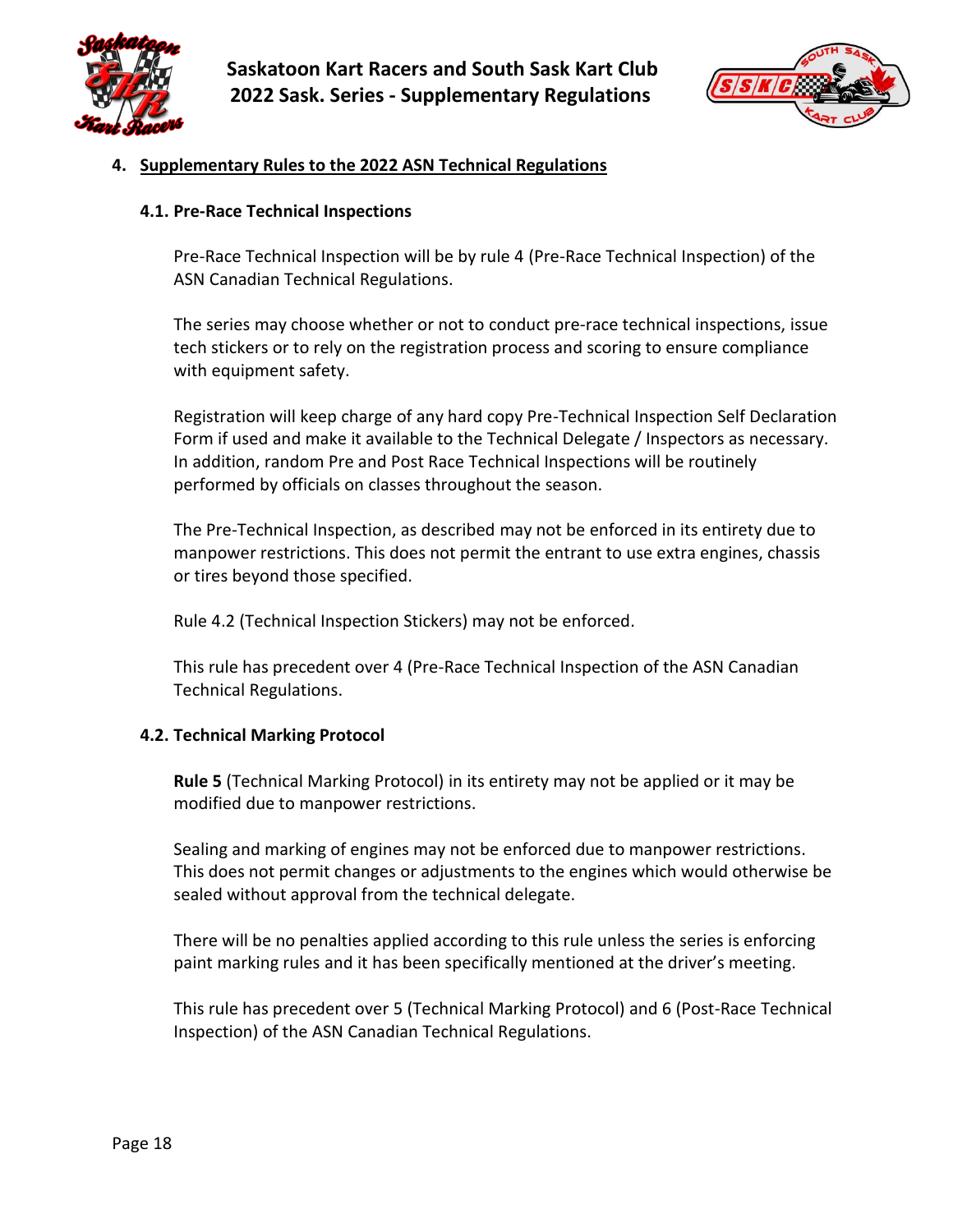



#### <span id="page-17-0"></span>**4. Supplementary Rules to the 2022 ASN Technical Regulations**

#### <span id="page-17-1"></span>**4.1. Pre-Race Technical Inspections**

Pre-Race Technical Inspection will be by rule 4 (Pre-Race Technical Inspection) of the ASN Canadian Technical Regulations.

The series may choose whether or not to conduct pre-race technical inspections, issue tech stickers or to rely on the registration process and scoring to ensure compliance with equipment safety.

Registration will keep charge of any hard copy Pre-Technical Inspection Self Declaration Form if used and make it available to the Technical Delegate / Inspectors as necessary. In addition, random Pre and Post Race Technical Inspections will be routinely performed by officials on classes throughout the season.

The Pre-Technical Inspection, as described may not be enforced in its entirety due to manpower restrictions. This does not permit the entrant to use extra engines, chassis or tires beyond those specified.

Rule 4.2 (Technical Inspection Stickers) may not be enforced.

This rule has precedent over 4 (Pre-Race Technical Inspection of the ASN Canadian Technical Regulations.

#### <span id="page-17-2"></span>**4.2. Technical Marking Protocol**

**Rule 5** (Technical Marking Protocol) in its entirety may not be applied or it may be modified due to manpower restrictions.

Sealing and marking of engines may not be enforced due to manpower restrictions. This does not permit changes or adjustments to the engines which would otherwise be sealed without approval from the technical delegate.

There will be no penalties applied according to this rule unless the series is enforcing paint marking rules and it has been specifically mentioned at the driver's meeting.

This rule has precedent over 5 (Technical Marking Protocol) and 6 (Post-Race Technical Inspection) of the ASN Canadian Technical Regulations.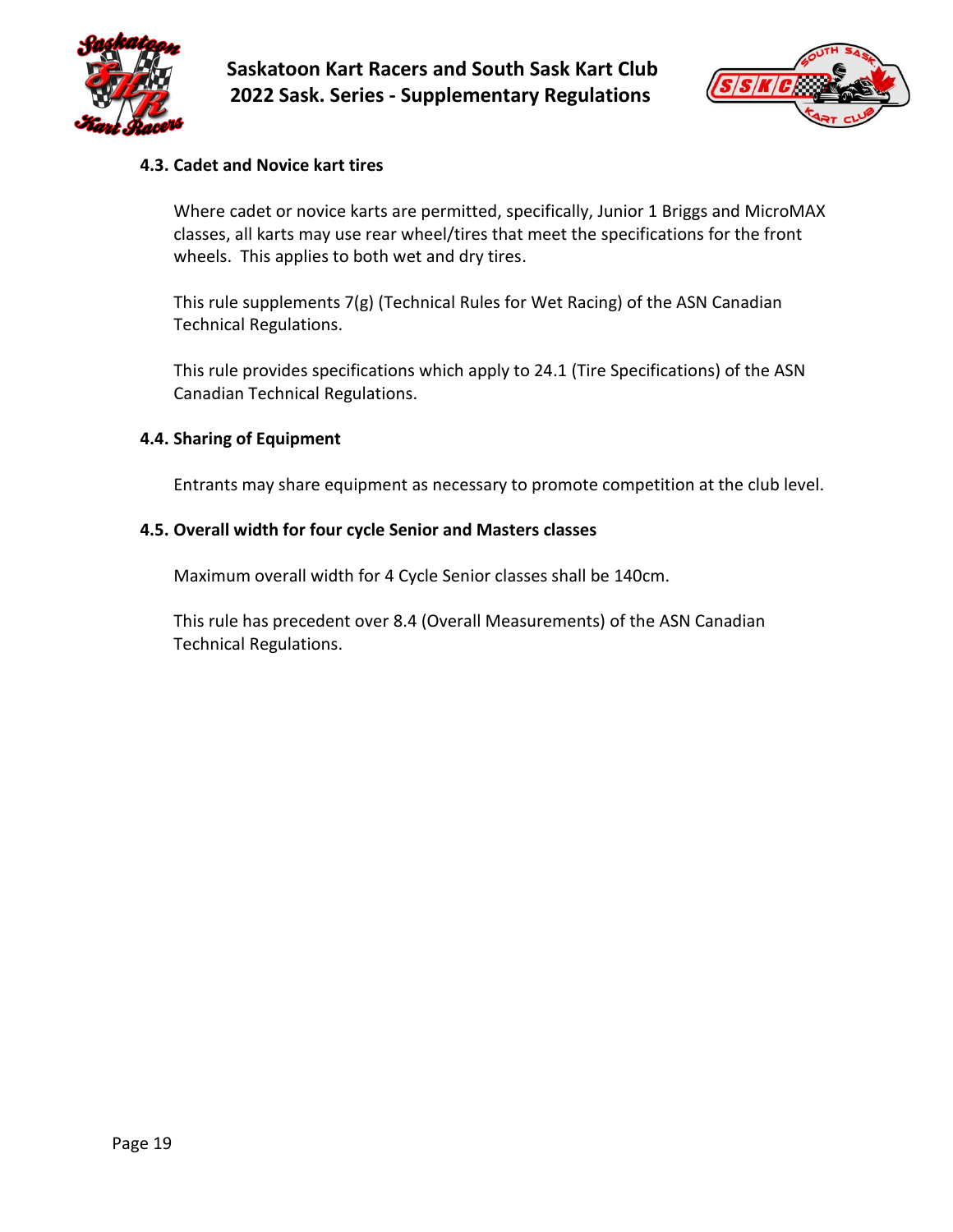



#### <span id="page-18-0"></span>**4.3. Cadet and Novice kart tires**

Where cadet or novice karts are permitted, specifically, Junior 1 Briggs and MicroMAX classes, all karts may use rear wheel/tires that meet the specifications for the front wheels. This applies to both wet and dry tires.

This rule supplements 7(g) (Technical Rules for Wet Racing) of the ASN Canadian Technical Regulations.

This rule provides specifications which apply to 24.1 (Tire Specifications) of the ASN Canadian Technical Regulations.

#### <span id="page-18-1"></span>**4.4. Sharing of Equipment**

Entrants may share equipment as necessary to promote competition at the club level.

#### <span id="page-18-2"></span>**4.5. Overall width for four cycle Senior and Masters classes**

Maximum overall width for 4 Cycle Senior classes shall be 140cm.

This rule has precedent over 8.4 (Overall Measurements) of the ASN Canadian Technical Regulations.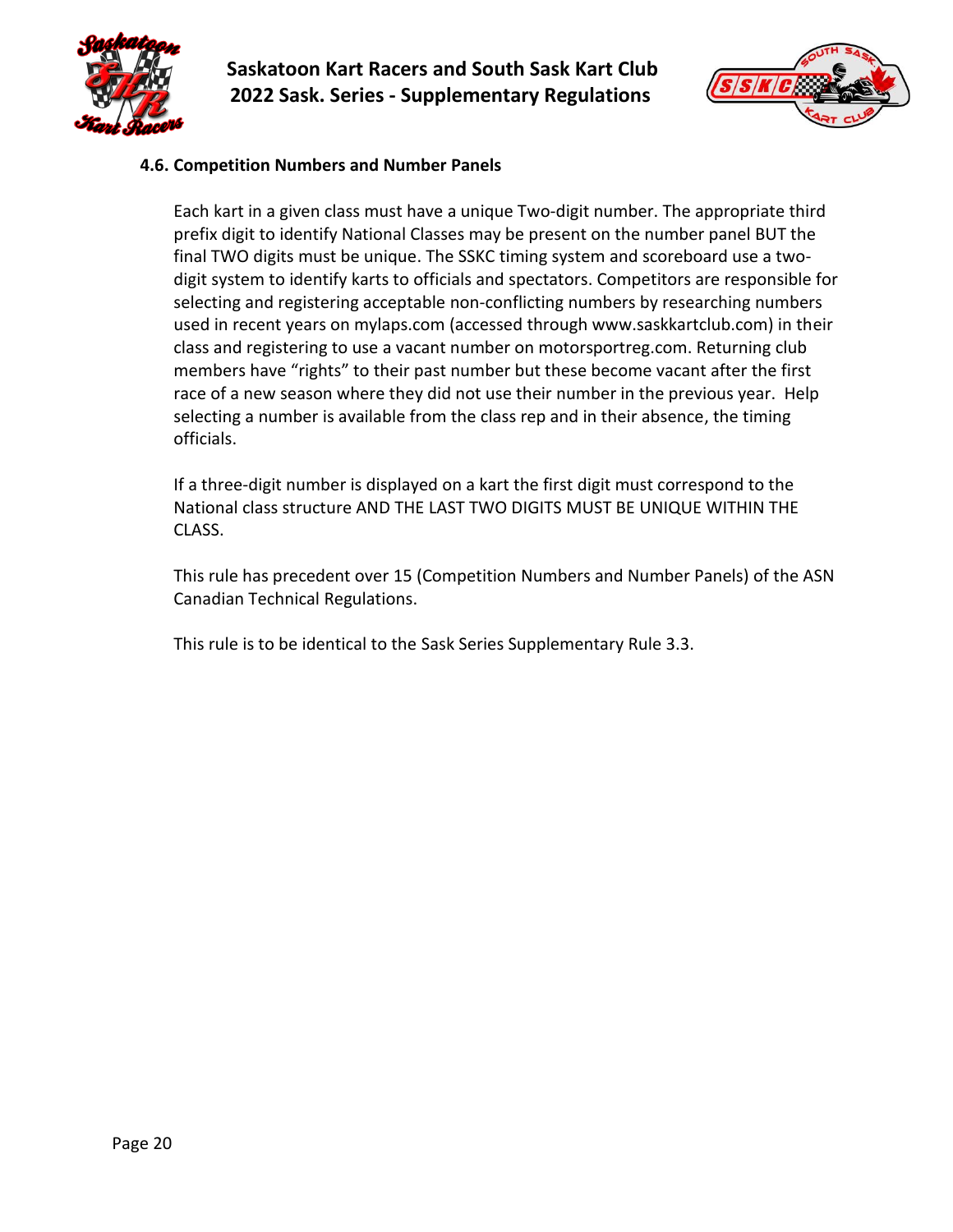



#### <span id="page-19-0"></span>**4.6. Competition Numbers and Number Panels**

Each kart in a given class must have a unique Two-digit number. The appropriate third prefix digit to identify National Classes may be present on the number panel BUT the final TWO digits must be unique. The SSKC timing system and scoreboard use a twodigit system to identify karts to officials and spectators. Competitors are responsible for selecting and registering acceptable non-conflicting numbers by researching numbers used in recent years on mylaps.com (accessed through www.saskkartclub.com) in their class and registering to use a vacant number on motorsportreg.com. Returning club members have "rights" to their past number but these become vacant after the first race of a new season where they did not use their number in the previous year. Help selecting a number is available from the class rep and in their absence, the timing officials.

If a three-digit number is displayed on a kart the first digit must correspond to the National class structure AND THE LAST TWO DIGITS MUST BE UNIQUE WITHIN THE CLASS.

This rule has precedent over 15 (Competition Numbers and Number Panels) of the ASN Canadian Technical Regulations.

This rule is to be identical to the Sask Series Supplementary Rule 3.3.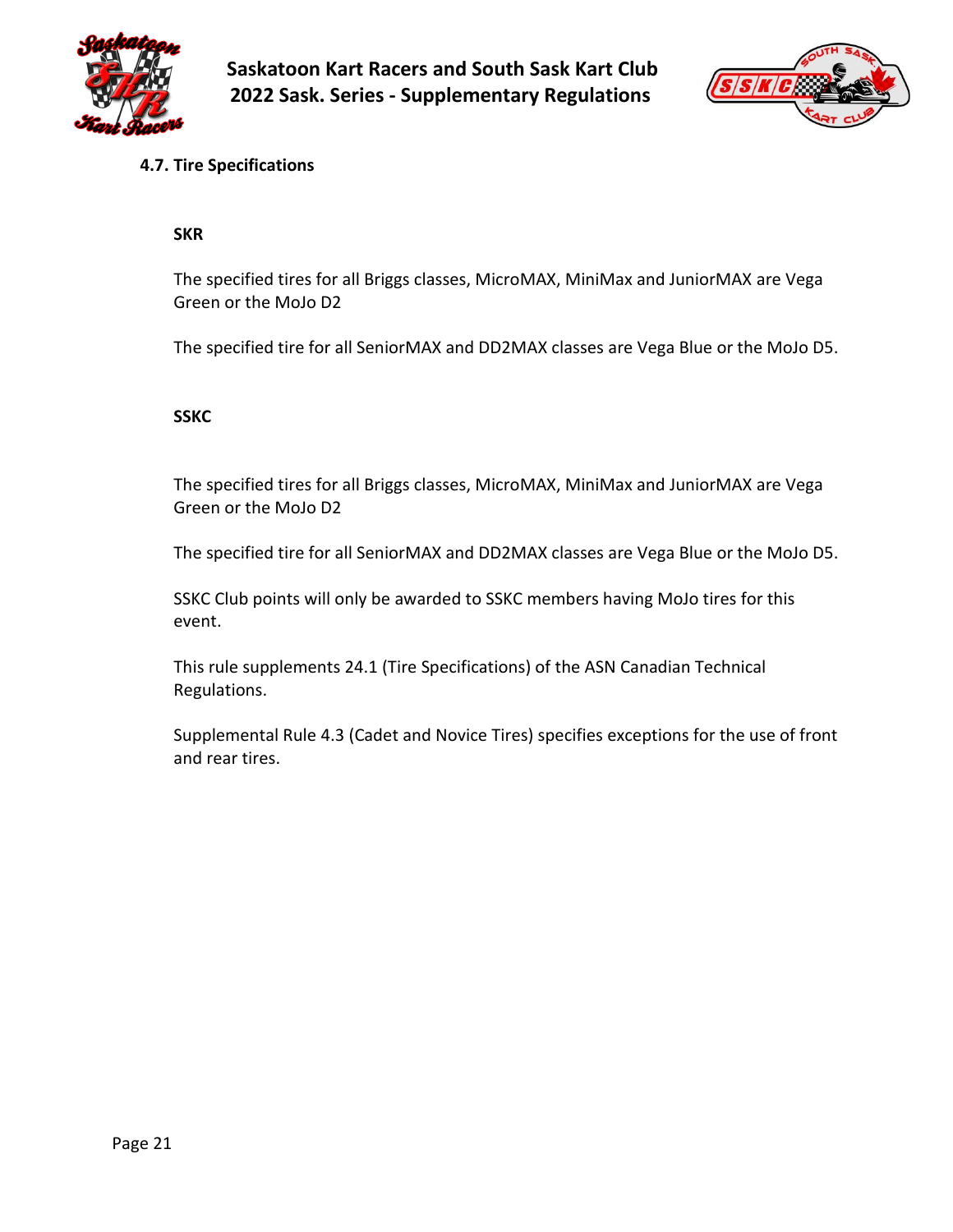



## <span id="page-20-0"></span>**4.7. Tire Specifications**

#### **SKR**

The specified tires for all Briggs classes, MicroMAX, MiniMax and JuniorMAX are Vega Green or the MoJo D2

The specified tire for all SeniorMAX and DD2MAX classes are Vega Blue or the MoJo D5.

#### **SSKC**

The specified tires for all Briggs classes, MicroMAX, MiniMax and JuniorMAX are Vega Green or the MoJo D2

The specified tire for all SeniorMAX and DD2MAX classes are Vega Blue or the MoJo D5.

SSKC Club points will only be awarded to SSKC members having MoJo tires for this event.

This rule supplements 24.1 (Tire Specifications) of the ASN Canadian Technical Regulations.

Supplemental Rule 4.3 (Cadet and Novice Tires) specifies exceptions for the use of front and rear tires.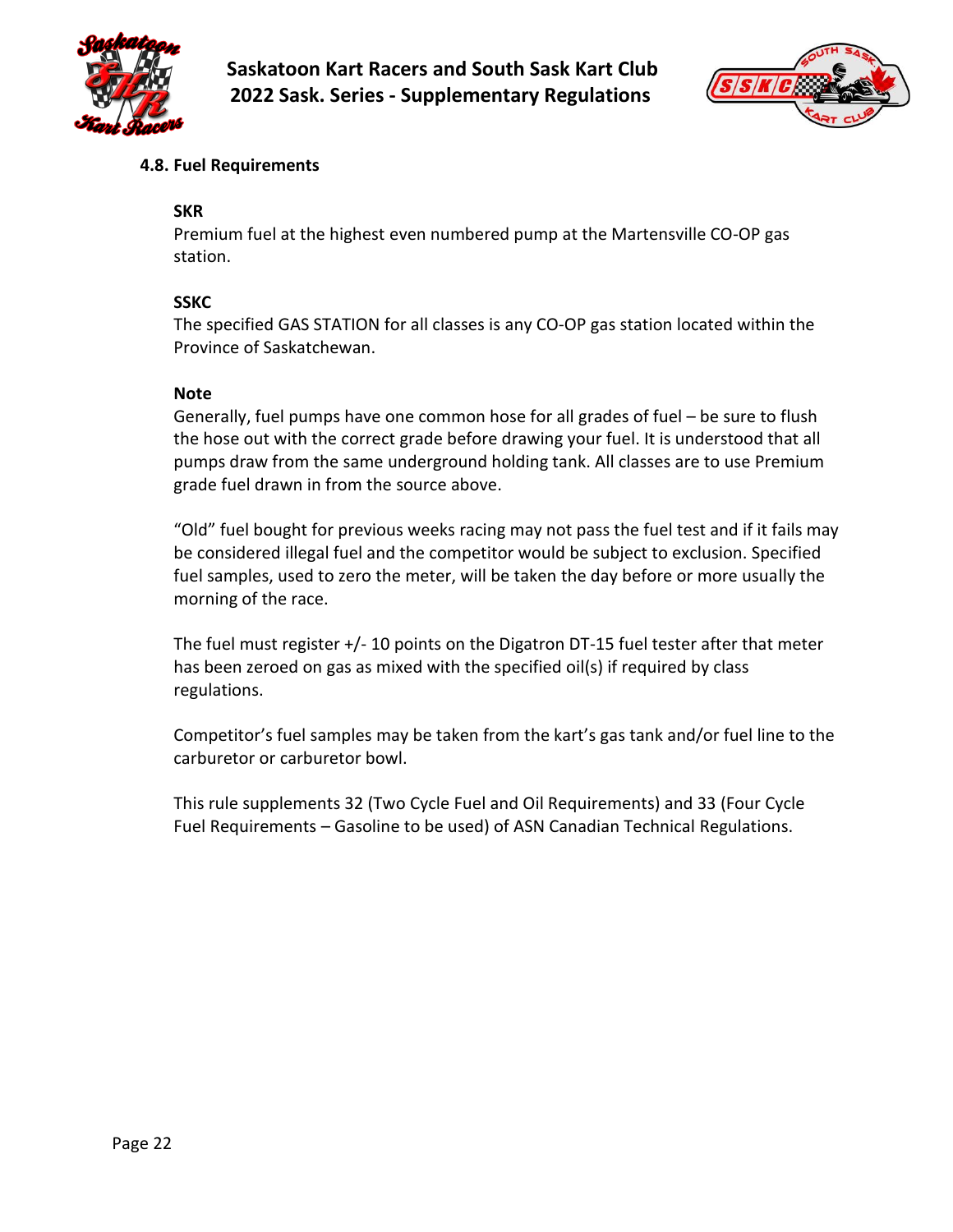



## <span id="page-21-0"></span>**4.8. Fuel Requirements**

#### **SKR**

Premium fuel at the highest even numbered pump at the Martensville CO-OP gas station.

#### **SSKC**

The specified GAS STATION for all classes is any CO-OP gas station located within the Province of Saskatchewan.

#### **Note**

Generally, fuel pumps have one common hose for all grades of fuel – be sure to flush the hose out with the correct grade before drawing your fuel. It is understood that all pumps draw from the same underground holding tank. All classes are to use Premium grade fuel drawn in from the source above.

"Old" fuel bought for previous weeks racing may not pass the fuel test and if it fails may be considered illegal fuel and the competitor would be subject to exclusion. Specified fuel samples, used to zero the meter, will be taken the day before or more usually the morning of the race.

The fuel must register  $+/-$  10 points on the Digatron DT-15 fuel tester after that meter has been zeroed on gas as mixed with the specified oil(s) if required by class regulations.

Competitor's fuel samples may be taken from the kart's gas tank and/or fuel line to the carburetor or carburetor bowl.

This rule supplements 32 (Two Cycle Fuel and Oil Requirements) and 33 (Four Cycle Fuel Requirements – Gasoline to be used) of ASN Canadian Technical Regulations.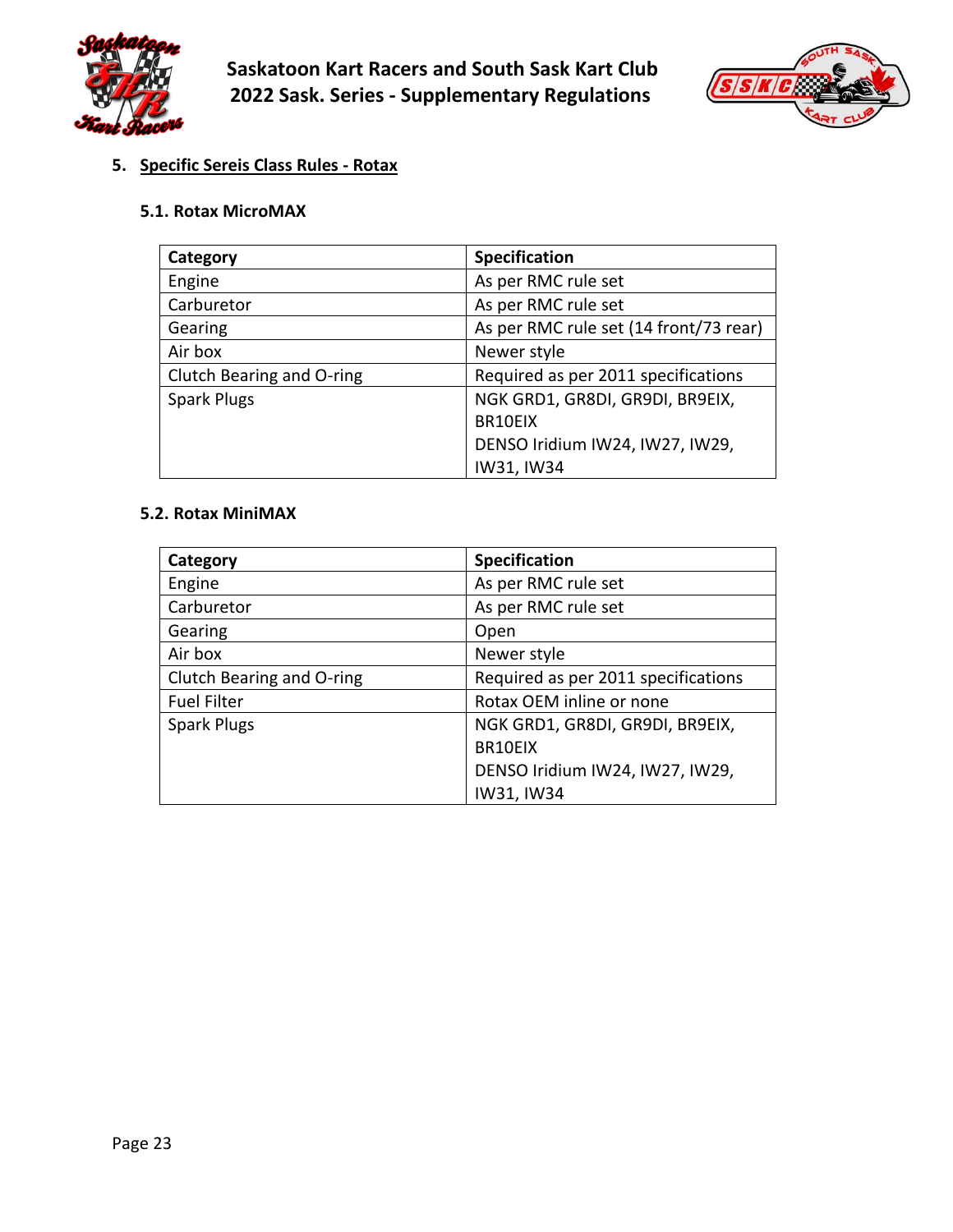



# <span id="page-22-0"></span>**5. Specific Sereis Class Rules - Rotax**

#### <span id="page-22-1"></span>**5.1. Rotax MicroMAX**

| Category                  | <b>Specification</b>                   |
|---------------------------|----------------------------------------|
| Engine                    | As per RMC rule set                    |
| Carburetor                | As per RMC rule set                    |
| Gearing                   | As per RMC rule set (14 front/73 rear) |
| Air box                   | Newer style                            |
| Clutch Bearing and O-ring | Required as per 2011 specifications    |
| <b>Spark Plugs</b>        | NGK GRD1, GR8DI, GR9DI, BR9EIX,        |
|                           | BR10EIX                                |
|                           | DENSO Iridium IW24, IW27, IW29,        |
|                           | IW31, IW34                             |

#### <span id="page-22-2"></span>**5.2. Rotax MiniMAX**

| Category                  | <b>Specification</b>                |
|---------------------------|-------------------------------------|
| Engine                    | As per RMC rule set                 |
| Carburetor                | As per RMC rule set                 |
| Gearing                   | Open                                |
| Air box                   | Newer style                         |
| Clutch Bearing and O-ring | Required as per 2011 specifications |
| <b>Fuel Filter</b>        | Rotax OEM inline or none            |
| <b>Spark Plugs</b>        | NGK GRD1, GR8DI, GR9DI, BR9EIX,     |
|                           | BR10EIX                             |
|                           | DENSO Iridium IW24, IW27, IW29,     |
|                           | IW31, IW34                          |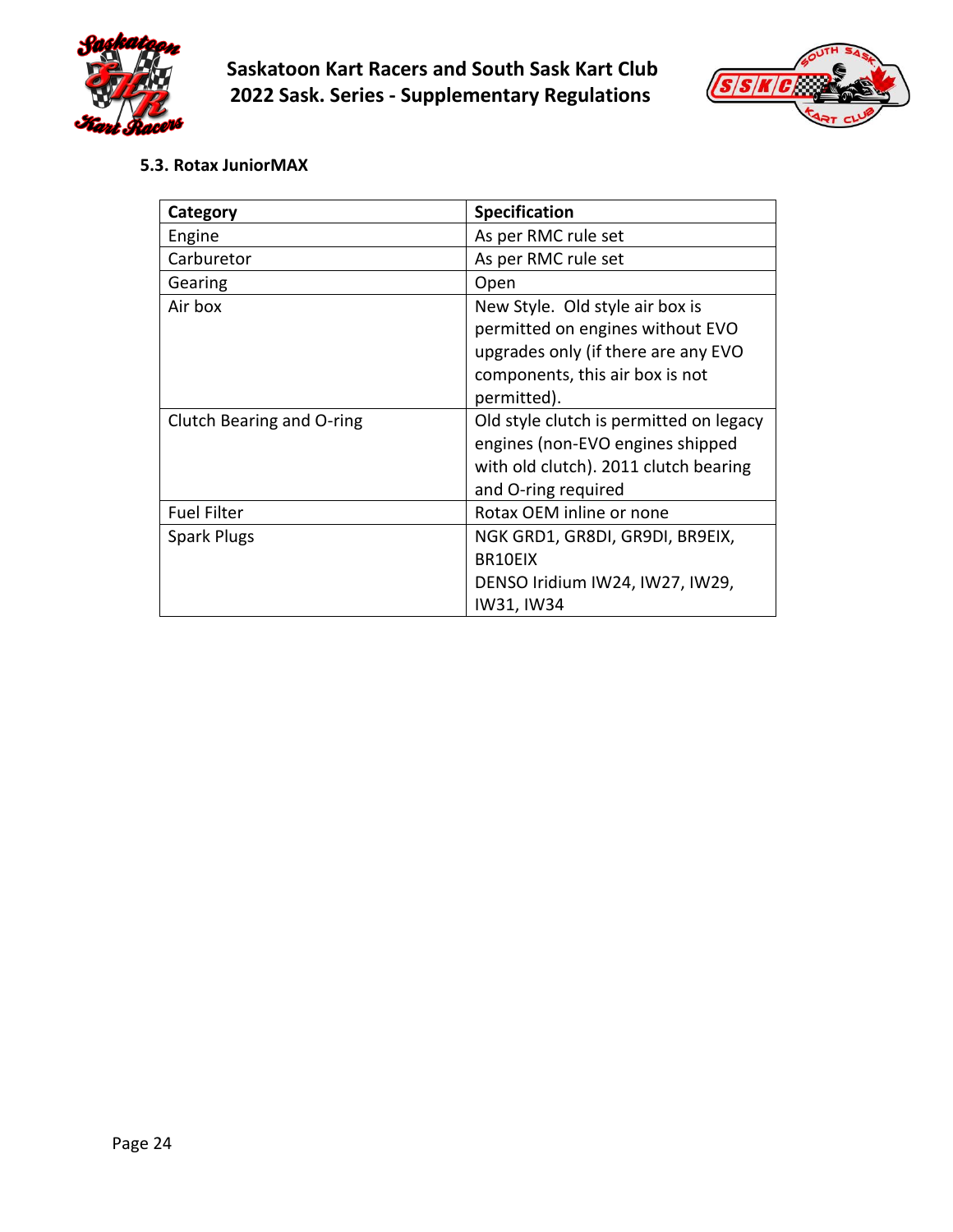



<span id="page-23-0"></span>**5.3. Rotax JuniorMAX**

| Category                  | <b>Specification</b>                    |
|---------------------------|-----------------------------------------|
| Engine                    | As per RMC rule set                     |
| Carburetor                | As per RMC rule set                     |
| Gearing                   | Open                                    |
| Air box                   | New Style. Old style air box is         |
|                           | permitted on engines without EVO        |
|                           | upgrades only (if there are any EVO     |
|                           | components, this air box is not         |
|                           | permitted).                             |
| Clutch Bearing and O-ring | Old style clutch is permitted on legacy |
|                           | engines (non-EVO engines shipped        |
|                           | with old clutch). 2011 clutch bearing   |
|                           | and O-ring required                     |
| <b>Fuel Filter</b>        | Rotax OEM inline or none                |
| <b>Spark Plugs</b>        | NGK GRD1, GR8DI, GR9DI, BR9EIX,         |
|                           | BR10EIX                                 |
|                           | DENSO Iridium IW24, IW27, IW29,         |
|                           | IW31, IW34                              |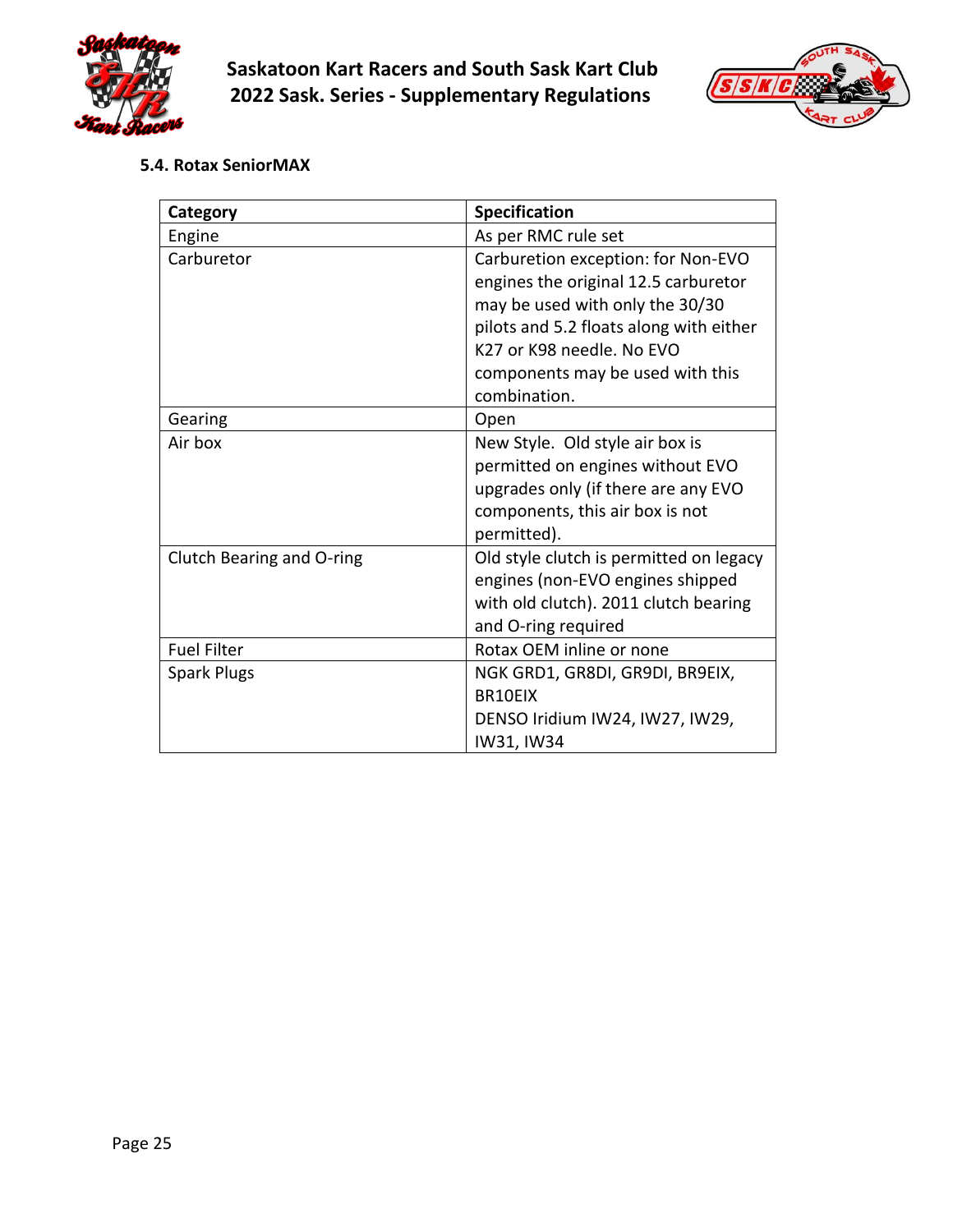



<span id="page-24-0"></span>**5.4. Rotax SeniorMAX**

| Category                  | <b>Specification</b>                    |
|---------------------------|-----------------------------------------|
| Engine                    | As per RMC rule set                     |
| Carburetor                | Carburetion exception: for Non-EVO      |
|                           | engines the original 12.5 carburetor    |
|                           | may be used with only the 30/30         |
|                           | pilots and 5.2 floats along with either |
|                           | K27 or K98 needle. No EVO               |
|                           | components may be used with this        |
|                           | combination.                            |
| Gearing                   | Open                                    |
| Air box                   | New Style. Old style air box is         |
|                           | permitted on engines without EVO        |
|                           | upgrades only (if there are any EVO     |
|                           | components, this air box is not         |
|                           | permitted).                             |
| Clutch Bearing and O-ring | Old style clutch is permitted on legacy |
|                           | engines (non-EVO engines shipped        |
|                           | with old clutch). 2011 clutch bearing   |
|                           | and O-ring required                     |
| <b>Fuel Filter</b>        | Rotax OEM inline or none                |
| <b>Spark Plugs</b>        | NGK GRD1, GR8DI, GR9DI, BR9EIX,         |
|                           | BR10EIX                                 |
|                           | DENSO Iridium IW24, IW27, IW29,         |
|                           | IW31, IW34                              |